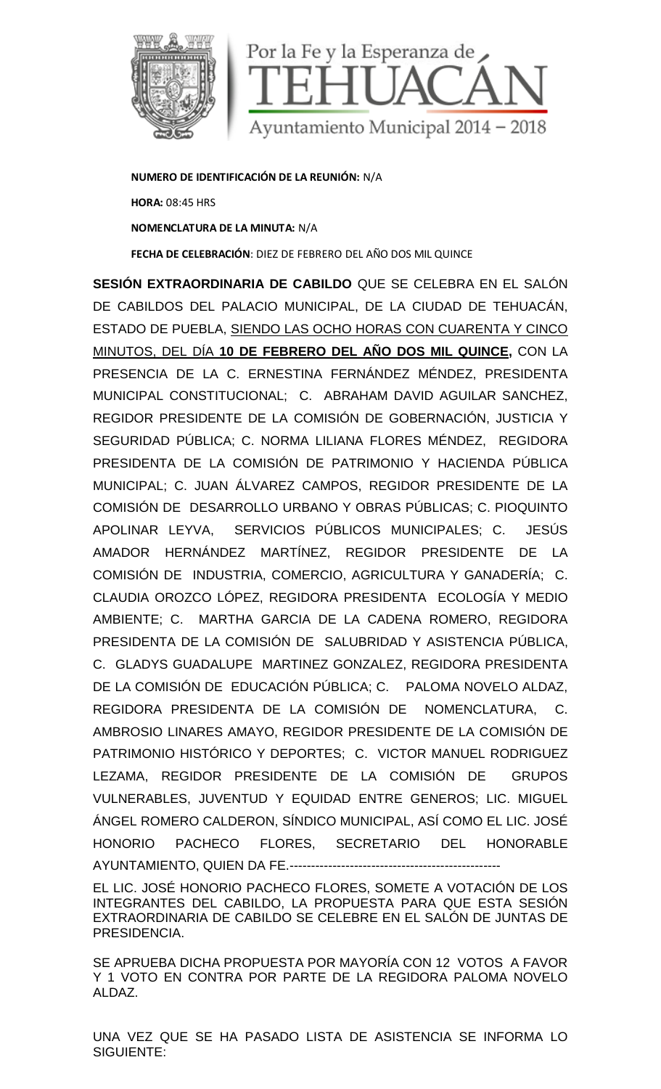

**NUMERO DE IDENTIFICACIÓN DE LA REUNIÓN:** N/A **HORA:** 08:45 HRS **NOMENCLATURA DE LA MINUTA:** N/A **FECHA DE CELEBRACIÓN**: DIEZ DE FEBRERO DEL AÑO DOS MIL QUINCE

**SESIÓN EXTRAORDINARIA DE CABILDO** QUE SE CELEBRA EN EL SALÓN DE CABILDOS DEL PALACIO MUNICIPAL, DE LA CIUDAD DE TEHUACÁN, ESTADO DE PUEBLA, SIENDO LAS OCHO HORAS CON CUARENTA Y CINCO MINUTOS, DEL DÍA **10 DE FEBRERO DEL AÑO DOS MIL QUINCE,** CON LA PRESENCIA DE LA C. ERNESTINA FERNÁNDEZ MÉNDEZ, PRESIDENTA MUNICIPAL CONSTITUCIONAL; C. ABRAHAM DAVID AGUILAR SANCHEZ, REGIDOR PRESIDENTE DE LA COMISIÓN DE GOBERNACIÓN, JUSTICIA Y SEGURIDAD PÚBLICA; C. NORMA LILIANA FLORES MÉNDEZ, REGIDORA PRESIDENTA DE LA COMISIÓN DE PATRIMONIO Y HACIENDA PÚBLICA MUNICIPAL; C. JUAN ÁLVAREZ CAMPOS, REGIDOR PRESIDENTE DE LA COMISIÓN DE DESARROLLO URBANO Y OBRAS PÚBLICAS; C. PIOQUINTO APOLINAR LEYVA, SERVICIOS PÚBLICOS MUNICIPALES; C. JESÚS AMADOR HERNÁNDEZ MARTÍNEZ, REGIDOR PRESIDENTE DE LA COMISIÓN DE INDUSTRIA, COMERCIO, AGRICULTURA Y GANADERÍA; C. CLAUDIA OROZCO LÓPEZ, REGIDORA PRESIDENTA ECOLOGÍA Y MEDIO AMBIENTE; C. MARTHA GARCIA DE LA CADENA ROMERO, REGIDORA PRESIDENTA DE LA COMISIÓN DE SALUBRIDAD Y ASISTENCIA PÚBLICA, C. GLADYS GUADALUPE MARTINEZ GONZALEZ, REGIDORA PRESIDENTA DE LA COMISIÓN DE EDUCACIÓN PÚBLICA; C. PALOMA NOVELO ALDAZ, REGIDORA PRESIDENTA DE LA COMISIÓN DE NOMENCLATURA, C. AMBROSIO LINARES AMAYO, REGIDOR PRESIDENTE DE LA COMISIÓN DE PATRIMONIO HISTÓRICO Y DEPORTES; C. VICTOR MANUEL RODRIGUEZ LEZAMA, REGIDOR PRESIDENTE DE LA COMISIÓN DE GRUPOS VULNERABLES, JUVENTUD Y EQUIDAD ENTRE GENEROS; LIC. MIGUEL ÁNGEL ROMERO CALDERON, SÍNDICO MUNICIPAL, ASÍ COMO EL LIC. JOSÉ HONORIO PACHECO FLORES, SECRETARIO DEL HONORABLE AYUNTAMIENTO, QUIEN DA FE.-------------------------------------------------

EL LIC. JOSÉ HONORIO PACHECO FLORES, SOMETE A VOTACIÓN DE LOS INTEGRANTES DEL CABILDO, LA PROPUESTA PARA QUE ESTA SESIÓN EXTRAORDINARIA DE CABILDO SE CELEBRE EN EL SALÓN DE JUNTAS DE PRESIDENCIA.

SE APRUEBA DICHA PROPUESTA POR MAYORÍA CON 12 VOTOS A FAVOR Y 1 VOTO EN CONTRA POR PARTE DE LA REGIDORA PALOMA NOVELO ALDAZ.

UNA VEZ QUE SE HA PASADO LISTA DE ASISTENCIA SE INFORMA LO SIGUIENTE: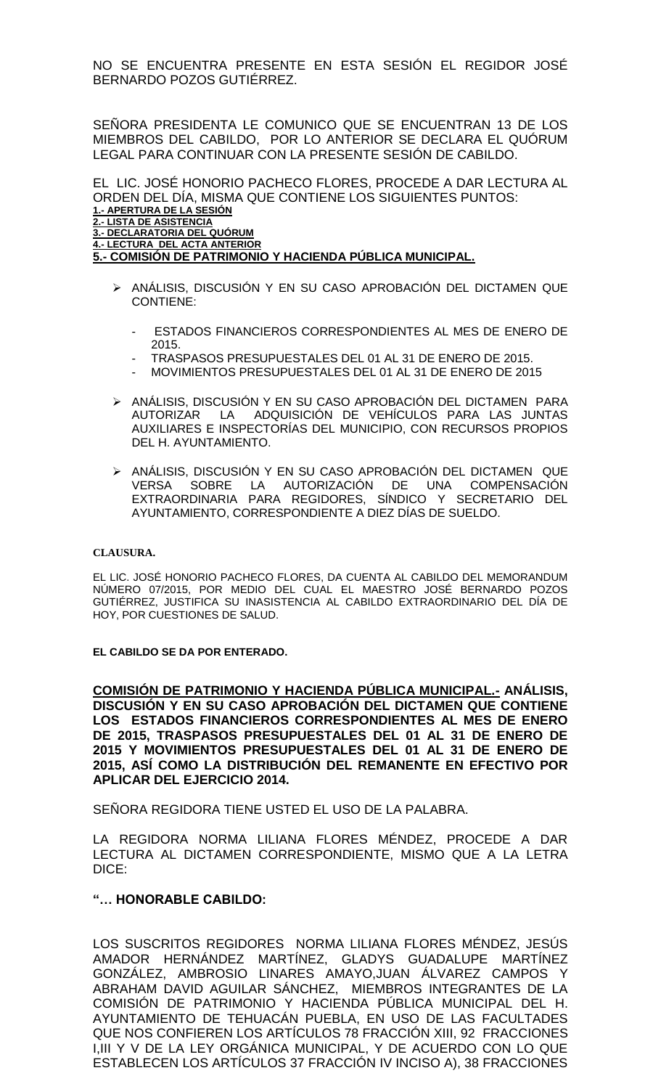NO SE ENCUENTRA PRESENTE EN ESTA SESIÓN EL REGIDOR JOSÉ BERNARDO POZOS GUTIÉRREZ.

SEÑORA PRESIDENTA LE COMUNICO QUE SE ENCUENTRAN 13 DE LOS MIEMBROS DEL CABILDO, POR LO ANTERIOR SE DECLARA EL QUÓRUM LEGAL PARA CONTINUAR CON LA PRESENTE SESION DE CABILDO.

EL LIC. JOSÉ HONORIO PACHECO FLORES, PROCEDE A DAR LECTURA AL ORDEN DEL DÍA, MISMA QUE CONTIENE LOS SIGUIENTES PUNTOS: **1.- APERTURA DE LA SESIÓN 2.- LISTA DE ASISTENCIA 3.- DECLARATORIA DEL QUÓRUM 4.- LECTURA DEL ACTA ANTERIOR 5.- COMISIÓN DE PATRIMONIO Y HACIENDA PÚBLICA MUNICIPAL.**

- > ANÁLISIS, DISCUSIÓN Y EN SU CASO APROBACIÓN DEL DICTAMEN QUE CONTIENE:
	- ESTADOS FINANCIEROS CORRESPONDIENTES AL MES DE ENERO DE 2015.
	- TRASPASOS PRESUPUESTALES DEL 01 AL 31 DE ENERO DE 2015.
	- MOVIMIENTOS PRESUPUESTALES DEL 01 AL 31 DE ENERO DE 2015
- ANÁLISIS, DISCUSIÓN Y EN SU CASO APROBACIÓN DEL DICTAMEN PARA AUTORIZAR LA ADQUISICIÓN DE VEHÍCULOS PARA LAS JUNTAS AUXILIARES E INSPECTORÍAS DEL MUNICIPIO, CON RECURSOS PROPIOS DEL H. AYUNTAMIENTO.
- ANÁLISIS, DISCUSIÓN Y EN SU CASO APROBACIÓN DEL DICTAMEN QUE VERSA SOBRE LA AUTORIZACIÓN DE UNA COMPENSACIÓN EXTRAORDINARIA PARA REGIDORES, SÍNDICO Y SECRETARIO DEL AYUNTAMIENTO, CORRESPONDIENTE A DIEZ DÍAS DE SUELDO.

#### **CLAUSURA.**

EL LIC. JOSÉ HONORIO PACHECO FLORES, DA CUENTA AL CABILDO DEL MEMORANDUM NÚMERO 07/2015, POR MEDIO DEL CUAL EL MAESTRO JOSÉ BERNARDO POZOS GUTIÉRREZ, JUSTIFICA SU INASISTENCIA AL CABILDO EXTRAORDINARIO DEL DÍA DE HOY, POR CUESTIONES DE SALUD.

**EL CABILDO SE DA POR ENTERADO.**

**COMISIÓN DE PATRIMONIO Y HACIENDA PÚBLICA MUNICIPAL.- ANÁLISIS, DISCUSIÓN Y EN SU CASO APROBACIÓN DEL DICTAMEN QUE CONTIENE LOS ESTADOS FINANCIEROS CORRESPONDIENTES AL MES DE ENERO DE 2015, TRASPASOS PRESUPUESTALES DEL 01 AL 31 DE ENERO DE 2015 Y MOVIMIENTOS PRESUPUESTALES DEL 01 AL 31 DE ENERO DE 2015, ASÍ COMO LA DISTRIBUCIÓN DEL REMANENTE EN EFECTIVO POR APLICAR DEL EJERCICIO 2014.**

SEÑORA REGIDORA TIENE USTED EL USO DE LA PALABRA.

LA REGIDORA NORMA LILIANA FLORES MÉNDEZ, PROCEDE A DAR LECTURA AL DICTAMEN CORRESPONDIENTE, MISMO QUE A LA LETRA DICE:

#### **"… HONORABLE CABILDO:**

LOS SUSCRITOS REGIDORES NORMA LILIANA FLORES MÉNDEZ, JESÚS AMADOR HERNÁNDEZ MARTÍNEZ, GLADYS GUADALUPE MARTÍNEZ GONZÁLEZ, AMBROSIO LINARES AMAYO,JUAN ÁLVAREZ CAMPOS Y ABRAHAM DAVID AGUILAR SÁNCHEZ, MIEMBROS INTEGRANTES DE LA COMISIÓN DE PATRIMONIO Y HACIENDA PÚBLICA MUNICIPAL DEL H. AYUNTAMIENTO DE TEHUACAN PUEBLA, EN USO DE LAS FACULTADES QUE NOS CONFIEREN LOS ARTÍCULOS 78 FRACCIÓN XIII, 92 FRACCIONES I,III Y V DE LA LEY ORGÁNICA MUNICIPAL, Y DE ACUERDO CON LO QUE ESTABLECEN LOS ARTÍCULOS 37 FRACCIÓN IV INCISO A), 38 FRACCIONES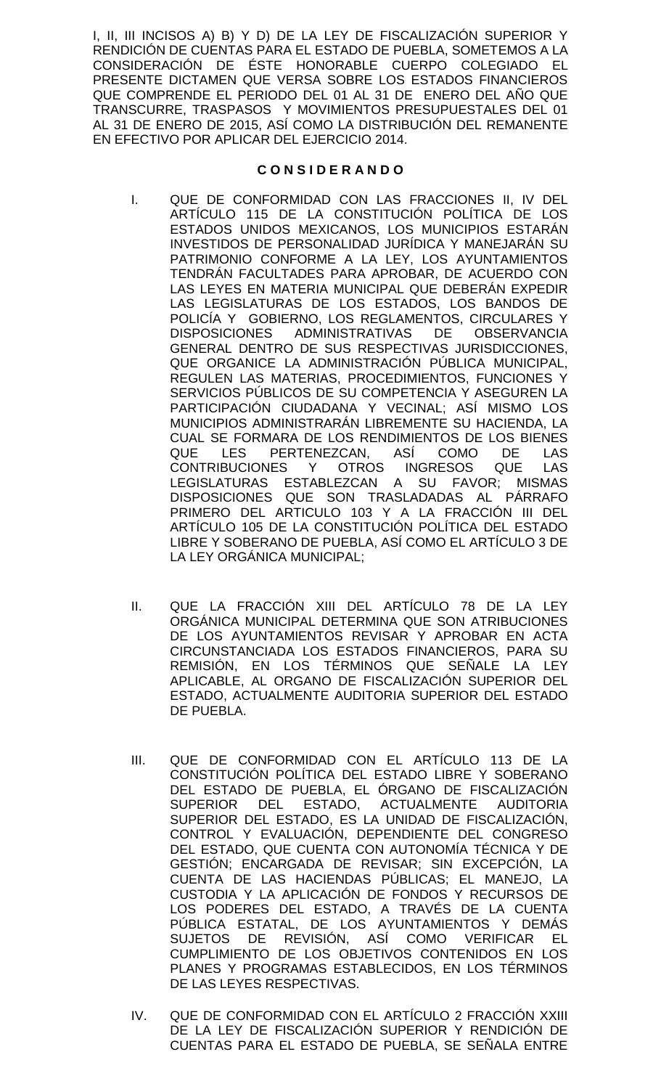I, II, III INCISOS A) B) Y D) DE LA LEY DE FISCALIZACIÓN SUPERIOR Y RENDICIÓN DE CUENTAS PARA EL ESTADO DE PUEBLA, SOMETEMOS A LA CONSIDERACIÓN DE ÉSTE HONORABLE CUERPO COLEGIADO EL PRESENTE DICTAMEN QUE VERSA SOBRE LOS ESTADOS FINANCIEROS QUE COMPRENDE EL PERIODO DEL 01 AL 31 DE ENERO DEL AÑO QUE TRANSCURRE, TRASPASOS Y MOVIMIENTOS PRESUPUESTALES DEL 01 AL 31 DE ENERO DE 2015, ASÍ COMO LA DISTRIBUCIÓN DEL REMANENTE EN EFECTIVO POR APLICAR DEL EJERCICIO 2014.

## **C O N S I D E R A N D O**

- I. QUE DE CONFORMIDAD CON LAS FRACCIONES II, IV DEL ARTÍCULO 115 DE LA CONSTITUCIÓN POLÍTICA DE LOS ESTADOS UNIDOS MEXICANOS, LOS MUNICIPIOS ESTARÁN INVESTIDOS DE PERSONALIDAD JURÍDICA Y MANEJARÁN SU PATRIMONIO CONFORME A LA LEY, LOS AYUNTAMIENTOS TENDRÁN FACULTADES PARA APROBAR, DE ACUERDO CON LAS LEYES EN MATERIA MUNICIPAL QUE DEBERÁN EXPEDIR LAS LEGISLATURAS DE LOS ESTADOS, LOS BANDOS DE POLICÍA Y GOBIERNO, LOS REGLAMENTOS, CIRCULARES Y DISPOSICIONES ADMINISTRATIVAS DE OBSERVANCIA GENERAL DENTRO DE SUS RESPECTIVAS JURISDICCIONES, QUE ORGANICE LA ADMINISTRACIÓN PÚBLICA MUNICIPAL, REGULEN LAS MATERIAS, PROCEDIMIENTOS, FUNCIONES Y SERVICIOS PÚBLICOS DE SU COMPETENCIA Y ASEGUREN LA PARTICIPACIÓN CIUDADANA Y VECINAL; ASÍ MISMO LOS MUNICIPIOS ADMINISTRARÁN LIBREMENTE SU HACIENDA, LA CUAL SE FORMARA DE LOS RENDIMIENTOS DE LOS BIENES QUE LES PERTENEZCAN, ASÍ COMO DE LAS CONTRIBUCIONES Y OTROS INGRESOS QUE LAS LEGISLATURAS ESTABLEZCAN A SU FAVOR; MISMAS DISPOSICIONES QUE SON TRASLADADAS AL PÁRRAFO PRIMERO DEL ARTICULO 103 Y A LA FRACCIÓN III DEL ARTÍCULO 105 DE LA CONSTITUCIÓN POLÍTICA DEL ESTADO LIBRE Y SOBERANO DE PUEBLA, ASÍ COMO EL ARTÍCULO 3 DE LA LEY ORGÁNICA MUNICIPAL;
- II. QUE LA FRACCIÓN XIII DEL ARTÍCULO 78 DE LA LEY ORGÁNICA MUNICIPAL DETERMINA QUE SON ATRIBUCIONES DE LOS AYUNTAMIENTOS REVISAR Y APROBAR EN ACTA CIRCUNSTANCIADA LOS ESTADOS FINANCIEROS, PARA SU REMISIÓN, EN LOS TÉRMINOS QUE SEÑALE LA LEY APLICABLE, AL ORGANO DE FISCALIZACIÓN SUPERIOR DEL ESTADO, ACTUALMENTE AUDITORIA SUPERIOR DEL ESTADO DE PUEBLA.
- III. QUE DE CONFORMIDAD CON EL ARTÍCULO 113 DE LA CONSTITUCIÓN POLÍTICA DEL ESTADO LIBRE Y SOBERANO DEL ESTADO DE PUEBLA, EL ÓRGANO DE FISCALIZACIÓN SUPERIOR DEL ESTADO, ACTUALMENTE AUDITORIA SUPERIOR DEL ESTADO, ES LA UNIDAD DE FISCALIZACIÓN, CONTROL Y EVALUACIÓN, DEPENDIENTE DEL CONGRESO DEL ESTADO, QUE CUENTA CON AUTONOMÍA TÉCNICA Y DE GESTIÓN; ENCARGADA DE REVISAR; SIN EXCEPCIÓN, LA CUENTA DE LAS HACIENDAS PÚBLICAS; EL MANEJO, LA CUSTODIA Y LA APLICACIÓN DE FONDOS Y RECURSOS DE LOS PODERES DEL ESTADO, A TRAVÉS DE LA CUENTA PÚBLICA ESTATAL, DE LOS AYUNTAMIENTOS Y DEMÁS SUJETOS DE REVISIÓN, ASÍ COMO VERIFICAR EL CUMPLIMIENTO DE LOS OBJETIVOS CONTENIDOS EN LOS PLANES Y PROGRAMAS ESTABLECIDOS, EN LOS TÉRMINOS DE LAS LEYES RESPECTIVAS.
- IV. QUE DE CONFORMIDAD CON EL ARTÍCULO 2 FRACCIÓN XXIII DE LA LEY DE FISCALIZACIÓN SUPERIOR Y RENDICIÓN DE CUENTAS PARA EL ESTADO DE PUEBLA, SE SEÑALA ENTRE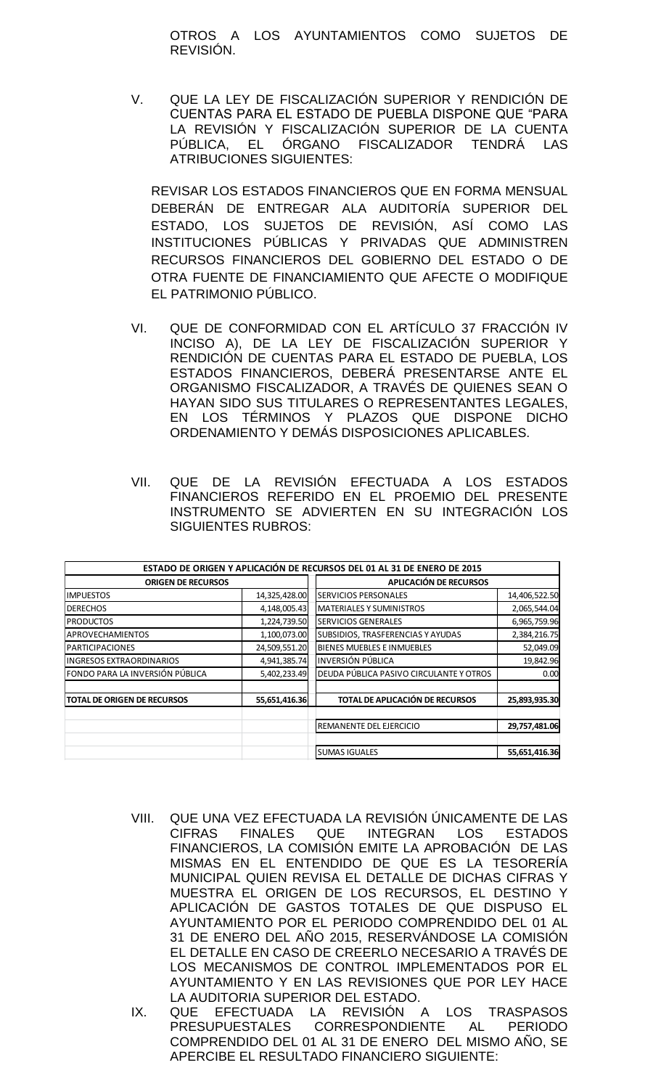OTROS A LOS AYUNTAMIENTOS COMO SUJETOS DE REVISIÓN.

V. QUE LA LEY DE FISCALIZACIÓN SUPERIOR Y RENDICIÓN DE CUENTAS PARA EL ESTADO DE PUEBLA DISPONE QUE "PARA LA REVISIÓN Y FISCALIZACIÓN SUPERIOR DE LA CUENTA PÚBLICA, EL ÓRGANO FISCALIZADOR TENDRÁ LAS ATRIBUCIONES SIGUIENTES:

REVISAR LOS ESTADOS FINANCIEROS QUE EN FORMA MENSUAL DEBERÁN DE ENTREGAR ALA AUDITORÍA SUPERIOR DEL ESTADO, LOS SUJETOS DE REVISIÓN, ASÍ COMO LAS INSTITUCIONES PÚBLICAS Y PRIVADAS QUE ADMINISTREN RECURSOS FINANCIEROS DEL GOBIERNO DEL ESTADO O DE OTRA FUENTE DE FINANCIAMIENTO QUE AFECTE O MODIFIQUE EL PATRIMONIO PÚBLICO.

- VI. QUE DE CONFORMIDAD CON EL ARTÍCULO 37 FRACCIÓN IV INCISO A), DE LA LEY DE FISCALIZACIÓN SUPERIOR Y RENDICIÓN DE CUENTAS PARA EL ESTADO DE PUEBLA, LOS ESTADOS FINANCIEROS, DEBERÁ PRESENTARSE ANTE EL ORGANISMO FISCALIZADOR, A TRAVÉS DE QUIENES SEAN O HAYAN SIDO SUS TITULARES O REPRESENTANTES LEGALES, EN LOS TÉRMINOS Y PLAZOS QUE DISPONE DICHO ORDENAMIENTO Y DEMÁS DISPOSICIONES APLICABLES.
- VII. QUE DE LA REVISION EFECTUADA A LOS ESTADOS FINANCIEROS REFERIDO EN EL PROEMIO DEL PRESENTE INSTRUMENTO SE ADVIERTEN EN SU INTEGRACIÓN LOS SIGUIENTES RUBROS:

|                                    |               | ESTADO DE ORIGEN Y APLICACIÓN DE RECURSOS DEL 01 AL 31 DE ENERO DE 2015 |               |  |
|------------------------------------|---------------|-------------------------------------------------------------------------|---------------|--|
| <b>ORIGEN DE RECURSOS</b>          |               | <b>APLICACIÓN DE RECURSOS</b>                                           |               |  |
| <b>IMPUESTOS</b>                   | 14,325,428.00 | <b>SERVICIOS PERSONALES</b>                                             | 14,406,522.50 |  |
| <b>DERECHOS</b>                    | 4,148,005.43  | <b>MATERIALES Y SUMINISTROS</b>                                         | 2,065,544.04  |  |
| <b>PRODUCTOS</b>                   | 1,224,739.50  | <b>SERVICIOS GENERALES</b>                                              | 6,965,759.96  |  |
| <b>APROVECHAMIENTOS</b>            | 1,100,073.00  | SUBSIDIOS, TRASFERENCIAS Y AYUDAS                                       | 2,384,216.75  |  |
| <b>PARTICIPACIONES</b>             | 24,509,551.20 | BIENES MUEBLES E INMUEBLES                                              | 52,049.09     |  |
| <b>INGRESOS EXTRAORDINARIOS</b>    | 4,941,385.74  | <b>INVERSIÓN PÚBLICA</b>                                                | 19,842.96     |  |
| FONDO PARA LA INVERSIÓN PÚBLICA    | 5,402,233.49  | DEUDA PÚBLICA PASIVO CIRCULANTE Y OTROS                                 | 0.00          |  |
| <b>TOTAL DE ORIGEN DE RECURSOS</b> | 55,651,416.36 | <b>TOTAL DE APLICACIÓN DE RECURSOS</b>                                  | 25,893,935.30 |  |
|                                    |               | REMANENTE DEL EJERCICIO                                                 | 29,757,481.06 |  |
|                                    |               | <b>SUMAS IGUALES</b>                                                    | 55,651,416.36 |  |

- VIII. QUE UNA VEZ EFECTUADA LA REVISIÓN ÚNICAMENTE DE LAS CIFRAS FINALES QUE INTEGRAN LOS ESTADOS FINANCIEROS, LA COMISIÓN EMITE LA APROBACIÓN DE LAS MISMAS EN EL ENTENDIDO DE QUE ES LA TESORERÍA MUNICIPAL QUIEN REVISA EL DETALLE DE DICHAS CIFRAS Y MUESTRA EL ORIGEN DE LOS RECURSOS, EL DESTINO Y APLICACIÓN DE GASTOS TOTALES DE QUE DISPUSO EL AYUNTAMIENTO POR EL PERIODO COMPRENDIDO DEL 01 AL 31 DE ENERO DEL AÑO 2015, RESERVÁNDOSE LA COMISIÓN EL DETALLE EN CASO DE CREERLO NECESARIO A TRAVÉS DE LOS MECANISMOS DE CONTROL IMPLEMENTADOS POR EL AYUNTAMIENTO Y EN LAS REVISIONES QUE POR LEY HACE LA AUDITORIA SUPERIOR DEL ESTADO.
- IX. QUE EFECTUADA LA REVISIÓN A LOS TRASPASOS PRESUPUESTALES CORRESPONDIENTE AL PERIODO COMPRENDIDO DEL 01 AL 31 DE ENERO DEL MISMO AÑO, SE APERCIBE EL RESULTADO FINANCIERO SIGUIENTE: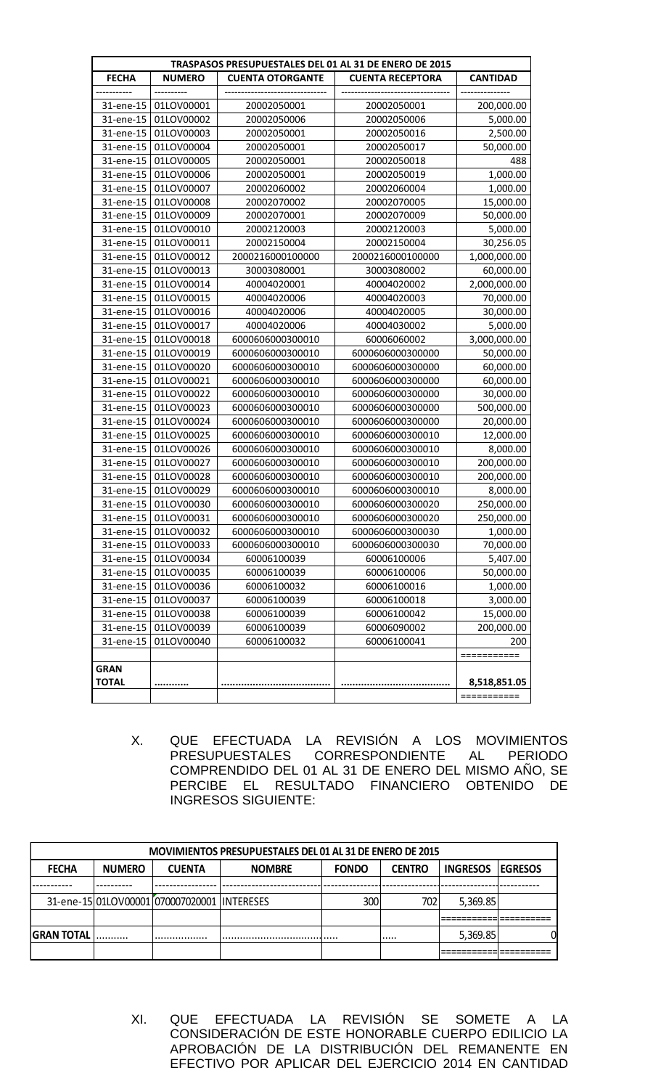| TRASPASOS PRESUPUESTALES DEL 01 AL 31 DE ENERO DE 2015 |               |                         |                         |                 |  |
|--------------------------------------------------------|---------------|-------------------------|-------------------------|-----------------|--|
| <b>FECHA</b>                                           | <b>NUMERO</b> | <b>CUENTA OTORGANTE</b> | <b>CUENTA RECEPTORA</b> | <b>CANTIDAD</b> |  |
|                                                        | ----------    |                         |                         |                 |  |
| 31-ene-15                                              | 01LOV00001    | 20002050001             | 20002050001             | 200,000.00      |  |
| 31-ene-15                                              | 01LOV00002    | 20002050006             | 20002050006             | 5,000.00        |  |
| 31-ene-15                                              | 01LOV00003    | 20002050001             | 20002050016             | 2,500.00        |  |
| 31-ene-15                                              | 01LOV00004    | 20002050001             | 20002050017             | 50,000.00       |  |
| 31-ene-15                                              | 01LOV00005    | 20002050001             | 20002050018             | 488             |  |
| 31-ene-15                                              | 01LOV00006    | 20002050001             | 20002050019             | 1,000.00        |  |
| 31-ene-15                                              | 01LOV00007    | 20002060002             | 20002060004             | 1,000.00        |  |
| 31-ene-15                                              | 01LOV00008    | 20002070002             | 20002070005             | 15,000.00       |  |
| 31-ene-15                                              | 01LOV00009    | 20002070001             | 20002070009             | 50,000.00       |  |
| 31-ene-15                                              | 01LOV00010    | 20002120003             | 20002120003             | 5,000.00        |  |
| 31-ene-15                                              | 01LOV00011    | 20002150004             | 20002150004             | 30,256.05       |  |
| 31-ene-15                                              | 01LOV00012    | 2000216000100000        | 2000216000100000        | 1,000,000.00    |  |
| 31-ene-15                                              | 01LOV00013    | 30003080001             | 30003080002             | 60,000.00       |  |
| 31-ene-15                                              | 01LOV00014    | 40004020001             | 40004020002             | 2,000,000.00    |  |
| 31-ene-15                                              | 01LOV00015    | 40004020006             | 40004020003             | 70,000.00       |  |
| 31-ene-15                                              | 01LOV00016    | 40004020006             | 40004020005             | 30,000.00       |  |
| 31-ene-15                                              | 01LOV00017    | 40004020006             | 40004030002             | 5,000.00        |  |
| 31-ene-15                                              | 01LOV00018    | 6000606000300010        | 60006060002             | 3,000,000.00    |  |
| 31-ene-15                                              | 01LOV00019    | 6000606000300010        | 6000606000300000        | 50,000.00       |  |
| 31-ene-15                                              | 01LOV00020    | 6000606000300010        | 6000606000300000        | 60,000.00       |  |
| 31-ene-15                                              | 01LOV00021    | 6000606000300010        | 6000606000300000        | 60,000.00       |  |
| 31-ene-15                                              | 01LOV00022    | 6000606000300010        | 6000606000300000        | 30,000.00       |  |
| 31-ene-15                                              | 01LOV00023    | 6000606000300010        | 6000606000300000        | 500,000.00      |  |
| 31-ene-15                                              | 01LOV00024    | 6000606000300010        | 6000606000300000        | 20,000.00       |  |
| 31-ene-15                                              | 01LOV00025    | 6000606000300010        | 6000606000300010        | 12,000.00       |  |
| 31-ene-15                                              | 01LOV00026    | 6000606000300010        | 6000606000300010        | 8,000.00        |  |
| 31-ene-15                                              | 01LOV00027    | 6000606000300010        | 6000606000300010        | 200,000.00      |  |
| 31-ene-15                                              | 01LOV00028    | 6000606000300010        | 6000606000300010        | 200,000.00      |  |
| 31-ene-15                                              | 01LOV00029    | 6000606000300010        | 6000606000300010        | 8,000.00        |  |
| 31-ene-15                                              | 01LOV00030    | 6000606000300010        | 6000606000300020        | 250,000.00      |  |
| 31-ene-15                                              | 01LOV00031    | 6000606000300010        | 6000606000300020        | 250,000.00      |  |
| 31-ene-15                                              | 01LOV00032    | 6000606000300010        | 6000606000300030        | 1,000.00        |  |
| 31-ene-15                                              | 01LOV00033    | 6000606000300010        | 6000606000300030        | 70,000.00       |  |
| 31-ene-15                                              | 01LOV00034    | 60006100039             | 60006100006             | 5,407.00        |  |
| 31-ene-15                                              | 01LOV00035    | 60006100039             | 60006100006             | 50,000.00       |  |
| 31-ene-15                                              | 01LOV00036    | 60006100032             | 60006100016             | 1,000.00        |  |
| 31-ene-15                                              | 01LOV00037    | 60006100039             | 60006100018             | 3,000.00        |  |
| 31-ene-15                                              | 01LOV00038    | 60006100039             | 60006100042             | 15,000.00       |  |
| 31-ene-15                                              | 01LOV00039    | 60006100039             | 60006090002             | 200,000.00      |  |
| 31-ene-15                                              | 01LOV00040    | 60006100032             | 60006100041             | 200             |  |
|                                                        |               |                         |                         |                 |  |
| <b>GRAN</b><br><b>TOTAL</b>                            |               |                         |                         |                 |  |
|                                                        |               |                         |                         | 8,518,851.05    |  |
|                                                        |               |                         |                         | ===========     |  |

X. QUE EFECTUADA LA REVISIÓN A LOS MOVIMIENTOS PRESUPUESTALES CORRESPONDIENTE AL PERIODO COMPRENDIDO DEL 01 AL 31 DE ENERO DEL MISMO AÑO, SE PERCIBE EL RESULTADO FINANCIERO OBTENIDO DE INGRESOS SIGUIENTE:

| <b>MOVIMIENTOS PRESUPUESTALES DEL 01 AL 31 DE ENERO DE 2015</b> |               |                                             |               |              |               |                 |                 |
|-----------------------------------------------------------------|---------------|---------------------------------------------|---------------|--------------|---------------|-----------------|-----------------|
| <b>FECHA</b>                                                    | <b>NUMERO</b> | <b>CUENTA</b>                               | <b>NOMBRE</b> | <b>FONDO</b> | <b>CENTRO</b> | <b>INGRESOS</b> | <b>IEGRESOS</b> |
|                                                                 |               |                                             |               |              |               |                 |                 |
|                                                                 |               | 31-ene-15 01LOV00001 070007020001 INTERESES |               | 300          | 702           | 5,369.85        |                 |
|                                                                 |               |                                             |               |              |               |                 |                 |
| <b>GRAN TOTAL</b>                                               |               |                                             |               |              |               | 5,369.85        |                 |
|                                                                 |               |                                             |               |              |               |                 |                 |

XI. QUE EFECTUADA LA REVISIÓN SE SOMETE A LA CONSIDERACIÓN DE ESTE HONORABLE CUERPO EDILICIO LA APROBACIÓN DE LA DISTRIBUCIÓN DEL REMANENTE EN EFECTIVO POR APLICAR DEL EJERCICIO 2014 EN CANTIDAD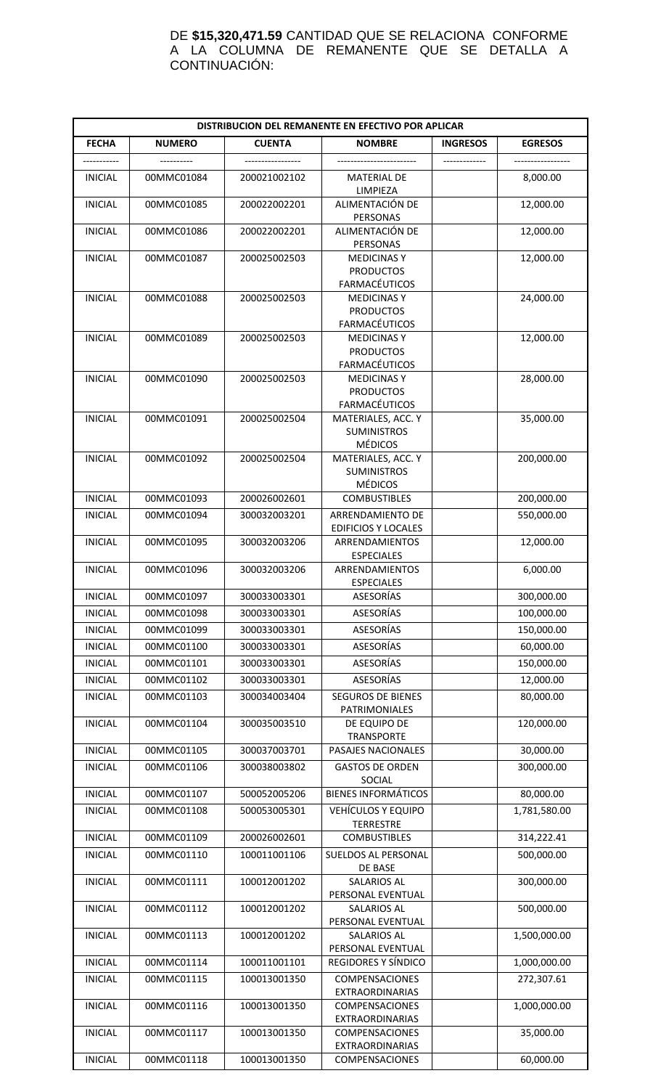#### DE **\$15,320,471.59** CANTIDAD QUE SE RELACIONA CONFORME A LA COLUMNA DE REMANENTE QUE SE DETALLA A CONTINUACIÓN:

| DISTRIBUCION DEL REMANENTE EN EFECTIVO POR APLICAR |                          |                              |                                                                                       |                 |                           |  |
|----------------------------------------------------|--------------------------|------------------------------|---------------------------------------------------------------------------------------|-----------------|---------------------------|--|
| <b>FECHA</b>                                       | <b>NUMERO</b>            | <b>CUENTA</b>                | <b>NOMBRE</b>                                                                         | <b>INGRESOS</b> | <b>EGRESOS</b>            |  |
|                                                    |                          |                              |                                                                                       |                 |                           |  |
| <b>INICIAL</b>                                     | 00MMC01084               | 200021002102                 | <b>MATERIAL DE</b><br>LIMPIEZA                                                        |                 | 8,000.00                  |  |
| <b>INICIAL</b>                                     | 00MMC01085               | 200022002201                 | ALIMENTACIÓN DE<br>PERSONAS                                                           |                 | 12,000.00                 |  |
| <b>INICIAL</b>                                     | 00MMC01086               | 200022002201                 | ALIMENTACIÓN DE<br>PERSONAS                                                           |                 | 12,000.00                 |  |
| <b>INICIAL</b>                                     | 00MMC01087               | 200025002503                 | <b>MEDICINASY</b><br><b>PRODUCTOS</b>                                                 |                 | 12,000.00                 |  |
| <b>INICIAL</b>                                     | 00MMC01088               | 200025002503                 | <b>FARMACÉUTICOS</b><br><b>MEDICINASY</b><br><b>PRODUCTOS</b><br><b>FARMACÉUTICOS</b> |                 | 24,000.00                 |  |
| <b>INICIAL</b>                                     | 00MMC01089               | 200025002503                 | <b>MEDICINASY</b><br><b>PRODUCTOS</b><br><b>FARMACÉUTICOS</b>                         |                 | 12,000.00                 |  |
| <b>INICIAL</b>                                     | 00MMC01090               | 200025002503                 | <b>MEDICINAS Y</b><br><b>PRODUCTOS</b><br><b>FARMACÉUTICOS</b>                        |                 | 28,000.00                 |  |
| <b>INICIAL</b>                                     | 00MMC01091               | 200025002504                 | MATERIALES, ACC. Y<br><b>SUMINISTROS</b><br><b>MÉDICOS</b>                            |                 | 35,000.00                 |  |
| <b>INICIAL</b>                                     | 00MMC01092               | 200025002504                 | MATERIALES, ACC. Y<br><b>SUMINISTROS</b><br><b>MÉDICOS</b>                            |                 | 200,000.00                |  |
| <b>INICIAL</b>                                     | 00MMC01093               | 200026002601                 | <b>COMBUSTIBLES</b>                                                                   |                 | 200,000.00                |  |
| <b>INICIAL</b>                                     | 00MMC01094               | 300032003201                 | ARRENDAMIENTO DE<br><b>EDIFICIOS Y LOCALES</b>                                        |                 | 550,000.00                |  |
| <b>INICIAL</b>                                     | 00MMC01095               | 300032003206                 | ARRENDAMIENTOS<br><b>ESPECIALES</b>                                                   |                 | 12,000.00                 |  |
| <b>INICIAL</b>                                     | 00MMC01096               | 300032003206                 | ARRENDAMIENTOS<br><b>ESPECIALES</b>                                                   |                 | 6,000.00                  |  |
| <b>INICIAL</b>                                     | 00MMC01097               | 300033003301                 | ASESORÍAS                                                                             |                 | 300,000.00                |  |
| <b>INICIAL</b>                                     | 00MMC01098               | 300033003301                 | ASESORÍAS                                                                             |                 | 100,000.00                |  |
| <b>INICIAL</b>                                     | 00MMC01099               | 300033003301                 | <b>ASESORÍAS</b>                                                                      |                 | 150,000.00                |  |
| <b>INICIAL</b>                                     | 00MMC01100               | 300033003301                 | ASESORÍAS                                                                             |                 | 60,000.00                 |  |
| <b>INICIAL</b>                                     | 00MMC01101               | 300033003301                 | <b>ASESORÍAS</b>                                                                      |                 | 150,000.00                |  |
| <b>INICIAL</b>                                     | 00MMC01102               | 300033003301                 | ASESORÍAS                                                                             |                 | 12,000.00                 |  |
| <b>INICIAL</b>                                     | 00MMC01103               | 300034003404                 | <b>SEGUROS DE BIENES</b><br>PATRIMONIALES                                             |                 | 80,000.00                 |  |
| <b>INICIAL</b>                                     | 00MMC01104               | 300035003510                 | DE EQUIPO DE<br><b>TRANSPORTE</b>                                                     |                 | 120,000.00                |  |
| <b>INICIAL</b>                                     | 00MMC01105               | 300037003701                 | PASAJES NACIONALES                                                                    |                 | 30,000.00                 |  |
| <b>INICIAL</b>                                     | 00MMC01106               | 300038003802                 | <b>GASTOS DE ORDEN</b><br>SOCIAL                                                      |                 | 300,000.00                |  |
| <b>INICIAL</b>                                     | 00MMC01107               | 500052005206                 | <b>BIENES INFORMÁTICOS</b>                                                            |                 | 80,000.00                 |  |
| <b>INICIAL</b>                                     | 00MMC01108               | 500053005301                 | VEHÍCULOS Y EQUIPO<br><b>TERRESTRE</b>                                                |                 | 1,781,580.00              |  |
| <b>INICIAL</b>                                     | 00MMC01109               | 200026002601                 | <b>COMBUSTIBLES</b>                                                                   |                 | 314,222.41                |  |
| <b>INICIAL</b>                                     | 00MMC01110               | 100011001106                 | SUELDOS AL PERSONAL<br>DE BASE                                                        |                 | 500,000.00                |  |
| <b>INICIAL</b>                                     | 00MMC01111               | 100012001202                 | <b>SALARIOS AL</b><br>PERSONAL EVENTUAL                                               |                 | 300,000.00                |  |
| <b>INICIAL</b>                                     | 00MMC01112               | 100012001202                 | SALARIOS AL<br>PERSONAL EVENTUAL                                                      |                 | 500,000.00                |  |
| <b>INICIAL</b>                                     | 00MMC01113               | 100012001202                 | <b>SALARIOS AL</b><br>PERSONAL EVENTUAL                                               |                 | 1,500,000.00              |  |
| <b>INICIAL</b>                                     | 00MMC01114               | 100011001101                 | REGIDORES Y SÍNDICO                                                                   |                 | 1,000,000.00              |  |
| <b>INICIAL</b>                                     | 00MMC01115               | 100013001350                 | COMPENSACIONES<br><b>EXTRAORDINARIAS</b>                                              |                 | 272,307.61                |  |
| <b>INICIAL</b><br><b>INICIAL</b>                   | 00MMC01116<br>00MMC01117 | 100013001350<br>100013001350 | <b>COMPENSACIONES</b><br>EXTRAORDINARIAS<br><b>COMPENSACIONES</b>                     |                 | 1,000,000.00<br>35,000.00 |  |
|                                                    |                          |                              | <b>EXTRAORDINARIAS</b>                                                                |                 |                           |  |
| <b>INICIAL</b>                                     | 00MMC01118               | 100013001350                 | <b>COMPENSACIONES</b>                                                                 |                 | 60,000.00                 |  |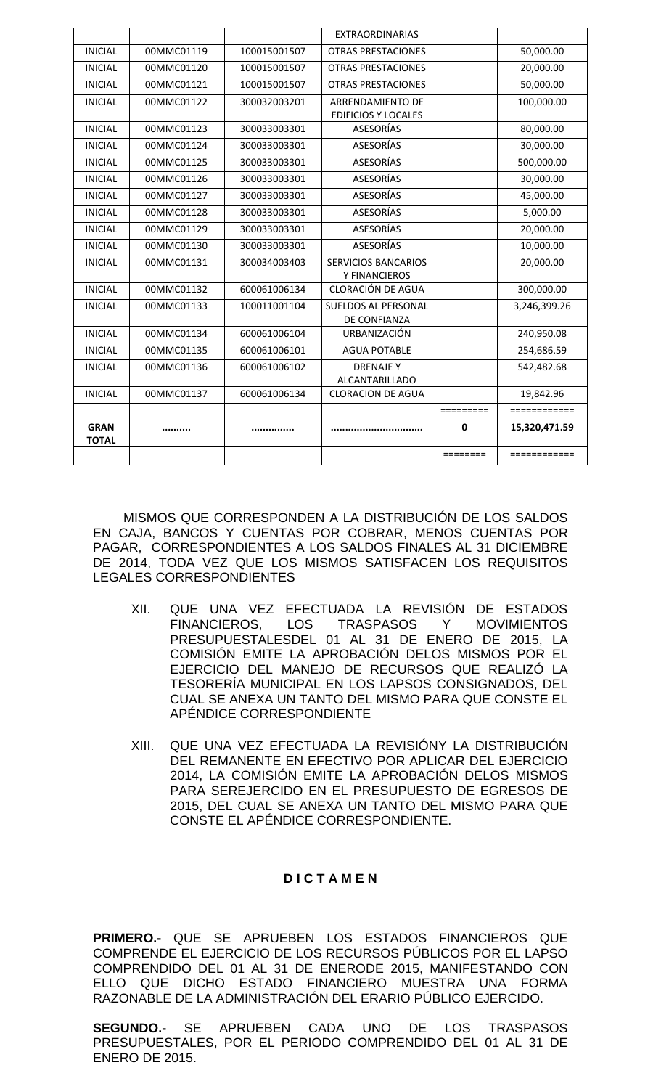|                             |            |              | <b>EXTRAORDINARIAS</b>                         |                             |               |
|-----------------------------|------------|--------------|------------------------------------------------|-----------------------------|---------------|
| <b>INICIAL</b>              | 00MMC01119 | 100015001507 | <b>OTRAS PRESTACIONES</b>                      |                             | 50,000.00     |
| <b>INICIAL</b>              | 00MMC01120 | 100015001507 | <b>OTRAS PRESTACIONES</b>                      |                             | 20,000.00     |
| <b>INICIAL</b>              | 00MMC01121 | 100015001507 | <b>OTRAS PRESTACIONES</b>                      |                             | 50,000.00     |
| <b>INICIAL</b>              | 00MMC01122 | 300032003201 | ARRENDAMIENTO DE<br><b>EDIFICIOS Y LOCALES</b> |                             | 100,000.00    |
| <b>INICIAL</b>              | 00MMC01123 | 300033003301 | <b>ASESORÍAS</b>                               |                             | 80,000.00     |
| <b>INICIAL</b>              | 00MMC01124 | 300033003301 | <b>ASESORÍAS</b>                               |                             | 30,000.00     |
| <b>INICIAL</b>              | 00MMC01125 | 300033003301 | <b>ASESORÍAS</b>                               |                             | 500,000.00    |
| <b>INICIAL</b>              | 00MMC01126 | 300033003301 | <b>ASESORÍAS</b>                               |                             | 30,000.00     |
| <b>INICIAL</b>              | 00MMC01127 | 300033003301 | <b>ASESORÍAS</b>                               |                             | 45,000.00     |
| <b>INICIAL</b>              | 00MMC01128 | 300033003301 | <b>ASESORÍAS</b>                               |                             | 5.000.00      |
| <b>INICIAL</b>              | 00MMC01129 | 300033003301 | <b>ASESORÍAS</b>                               |                             | 20,000.00     |
| <b>INICIAL</b>              | 00MMC01130 | 300033003301 | <b>ASESORÍAS</b>                               |                             | 10,000.00     |
| <b>INICIAL</b>              | 00MMC01131 | 300034003403 | <b>SERVICIOS BANCARIOS</b><br>Y FINANCIEROS    |                             | 20,000.00     |
| <b>INICIAL</b>              | 00MMC01132 | 600061006134 | <b>CLORACIÓN DE AGUA</b>                       |                             | 300,000.00    |
| <b>INICIAL</b>              | 00MMC01133 | 100011001104 | <b>SUELDOS AL PERSONAL</b><br>DE CONFIANZA     |                             | 3,246,399.26  |
| <b>INICIAL</b>              | 00MMC01134 | 600061006104 | URBANIZACIÓN                                   |                             | 240,950.08    |
| <b>INICIAL</b>              | 00MMC01135 | 600061006101 | <b>AGUA POTABLE</b>                            |                             | 254,686.59    |
| <b>INICIAL</b>              | 00MMC01136 | 600061006102 | <b>DRENAJE Y</b><br><b>ALCANTARILLADO</b>      |                             | 542,482.68    |
| <b>INICIAL</b>              | 00MMC01137 | 600061006134 | <b>CLORACION DE AGUA</b>                       |                             | 19,842.96     |
|                             |            |              |                                                | =========                   | ============  |
| <b>GRAN</b><br><b>TOTAL</b> |            |              |                                                | $\mathbf{0}$                | 15,320,471.59 |
|                             |            |              |                                                | $=$ $=$ $=$ $=$ $=$ $=$ $=$ | ============  |

MISMOS QUE CORRESPONDEN A LA DISTRIBUCIÓN DE LOS SALDOS EN CAJA, BANCOS Y CUENTAS POR COBRAR, MENOS CUENTAS POR PAGAR, CORRESPONDIENTES A LOS SALDOS FINALES AL 31 DICIEMBRE DE 2014, TODA VEZ QUE LOS MISMOS SATISFACEN LOS REQUISITOS LEGALES CORRESPONDIENTES

- XII. QUE UNA VEZ EFECTUADA LA REVISIÓN DE ESTADOS FINANCIEROS, LOS TRASPASOS Y MOVIMIENTOS PRESUPUESTALESDEL 01 AL 31 DE ENERO DE 2015, LA COMISIÓN EMITE LA APROBACIÓN DELOS MISMOS POR EL EJERCICIO DEL MANEJO DE RECURSOS QUE REALIZÓ LA TESORERÍA MUNICIPAL EN LOS LAPSOS CONSIGNADOS, DEL CUAL SE ANEXA UN TANTO DEL MISMO PARA QUE CONSTE EL APÉNDICE CORRESPONDIENTE
- XIII. QUE UNA VEZ EFECTUADA LA REVISIÓNY LA DISTRIBUCIÓN DEL REMANENTE EN EFECTIVO POR APLICAR DEL EJERCICIO 2014, LA COMISIÓN EMITE LA APROBACIÓN DELOS MISMOS PARA SEREJERCIDO EN EL PRESUPUESTO DE EGRESOS DE 2015, DEL CUAL SE ANEXA UN TANTO DEL MISMO PARA QUE CONSTE EL APÉNDICE CORRESPONDIENTE.

## **D I C T A M E N**

**PRIMERO.-** QUE SE APRUEBEN LOS ESTADOS FINANCIEROS QUE COMPRENDE EL EJERCICIO DE LOS RECURSOS PÚBLICOS POR EL LAPSO COMPRENDIDO DEL 01 AL 31 DE ENERODE 2015, MANIFESTANDO CON ELLO QUE DICHO ESTADO FINANCIERO MUESTRA UNA FORMA RAZONABLE DE LA ADMINISTRACIÓN DEL ERARIO PÚBLICO EJERCIDO.

**SEGUNDO.-** SE APRUEBEN CADA UNO DE LOS TRASPASOS PRESUPUESTALES, POR EL PERIODO COMPRENDIDO DEL 01 AL 31 DE ENERO DE 2015.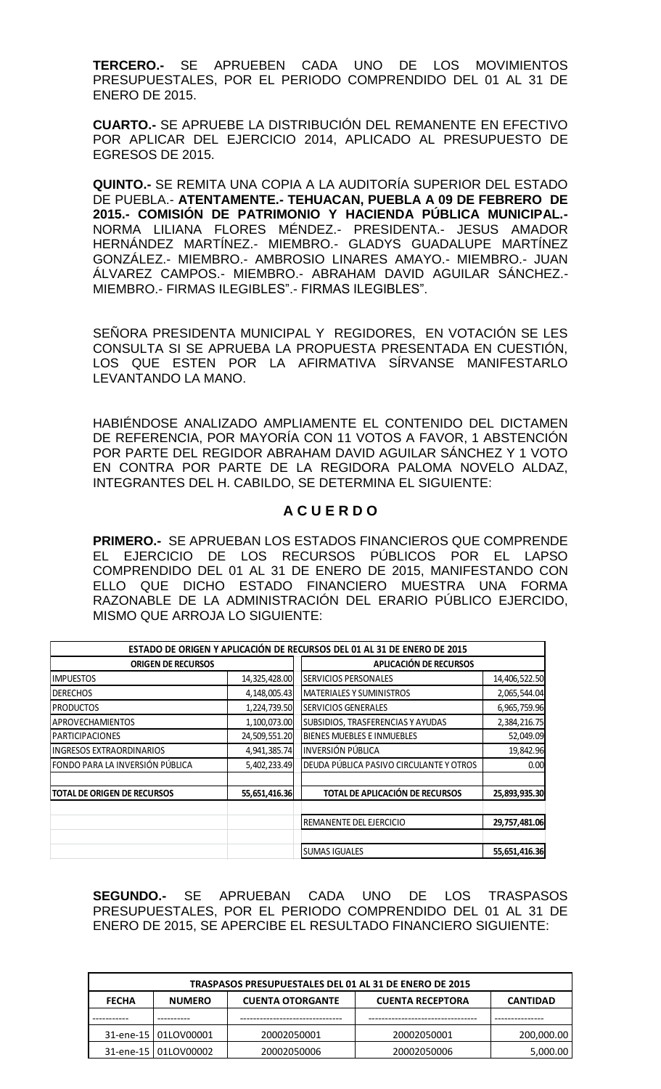**TERCERO.-** SE APRUEBEN CADA UNO DE LOS MOVIMIENTOS PRESUPUESTALES, POR EL PERIODO COMPRENDIDO DEL 01 AL 31 DE ENERO DE 2015.

**CUARTO.-** SE APRUEBE LA DISTRIBUCIÓN DEL REMANENTE EN EFECTIVO POR APLICAR DEL EJERCICIO 2014, APLICADO AL PRESUPUESTO DE EGRESOS DE 2015.

**QUINTO.-** SE REMITA UNA COPIA A LA AUDITORÍA SUPERIOR DEL ESTADO DE PUEBLA.- **ATENTAMENTE.- TEHUACAN, PUEBLA A 09 DE FEBRERO DE 2015.- COMISIÓN DE PATRIMONIO Y HACIENDA PÚBLICA MUNICIPAL.-** NORMA LILIANA FLORES MÉNDEZ.- PRESIDENTA.- JESUS AMADOR HERNÁNDEZ MARTÍNEZ.- MIEMBRO.- GLADYS GUADALUPE MARTÍNEZ GONZÁLEZ.- MIEMBRO.- AMBROSIO LINARES AMAYO.- MIEMBRO.- JUAN ÁLVAREZ CAMPOS.- MIEMBRO.- ABRAHAM DAVID AGUILAR SÁNCHEZ.- MIEMBRO.- FIRMAS ILEGIBLES".- FIRMAS ILEGIBLES".

SEÑORA PRESIDENTA MUNICIPAL Y REGIDORES, EN VOTACIÓN SE LES CONSULTA SI SE APRUEBA LA PROPUESTA PRESENTADA EN CUESTIÓN, LOS QUE ESTEN POR LA AFIRMATIVA SÍRVANSE MANIFESTARLO LEVANTANDO LA MANO.

HABIÉNDOSE ANALIZADO AMPLIAMENTE EL CONTENIDO DEL DICTAMEN DE REFERENCIA, POR MAYORÍA CON 11 VOTOS A FAVOR, 1 ABSTENCIÓN POR PARTE DEL REGIDOR ABRAHAM DAVID AGUILAR SÁNCHEZ Y 1 VOTO EN CONTRA POR PARTE DE LA REGIDORA PALOMA NOVELO ALDAZ, INTEGRANTES DEL H. CABILDO, SE DETERMINA EL SIGUIENTE:

## **A C U E R D O**

**PRIMERO.-** SE APRUEBAN LOS ESTADOS FINANCIEROS QUE COMPRENDE EL EJERCICIO DE LOS RECURSOS PÚBLICOS POR EL LAPSO COMPRENDIDO DEL 01 AL 31 DE ENERO DE 2015, MANIFESTANDO CON ELLO QUE DICHO ESTADO FINANCIERO MUESTRA UNA FORMA RAZONABLE DE LA ADMINISTRACIÓN DEL ERARIO PÚBLICO EJERCIDO, MISMO QUE ARROJA LO SIGUIENTE:

|                                    |               | ESTADO DE ORIGEN Y APLICACIÓN DE RECURSOS DEL 01 AL 31 DE ENERO DE 2015 |               |  |
|------------------------------------|---------------|-------------------------------------------------------------------------|---------------|--|
| <b>ORIGEN DE RECURSOS</b>          |               | APLICACIÓN DE RECURSOS                                                  |               |  |
| <b>IMPUESTOS</b>                   | 14,325,428.00 | SERVICIOS PERSONALES                                                    | 14,406,522.50 |  |
| <b>DERECHOS</b>                    | 4,148,005.43  | MATERIALES Y SUMINISTROS                                                | 2,065,544.04  |  |
| <b>PRODUCTOS</b>                   | 1,224,739.50  | SERVICIOS GENERALES                                                     | 6,965,759.96  |  |
| <b>APROVECHAMIENTOS</b>            | 1,100,073.00  | SUBSIDIOS, TRASFERENCIAS Y AYUDAS                                       | 2,384,216.75  |  |
| <b>PARTICIPACIONES</b>             | 24,509,551.20 | BIENES MUEBLES E INMUEBLES                                              | 52,049.09     |  |
| <b>INGRESOS EXTRAORDINARIOS</b>    | 4,941,385.74  | <b>INVERSIÓN PÚBLICA</b>                                                | 19,842.96     |  |
| FONDO PARA LA INVERSIÓN PÚBLICA    | 5,402,233.49  | DEUDA PÚBLICA PASIVO CIRCULANTE Y OTROS                                 | 0.00          |  |
| <b>TOTAL DE ORIGEN DE RECURSOS</b> | 55,651,416.36 | TOTAL DE APLICACIÓN DE RECURSOS                                         | 25,893,935.30 |  |
|                                    |               | REMANENTE DEL EJERCICIO                                                 | 29,757,481.06 |  |
|                                    |               | <b>SUMAS IGUALES</b>                                                    | 55,651,416.36 |  |

**SEGUNDO.-** SE APRUEBAN CADA UNO DE LOS TRASPASOS PRESUPUESTALES, POR EL PERIODO COMPRENDIDO DEL 01 AL 31 DE ENERO DE 2015, SE APERCIBE EL RESULTADO FINANCIERO SIGUIENTE:

| TRASPASOS PRESUPUESTALES DEL 01 AL 31 DE ENERO DE 2015 |                                                                                        |             |             |            |  |
|--------------------------------------------------------|----------------------------------------------------------------------------------------|-------------|-------------|------------|--|
| <b>FECHA</b>                                           | <b>CUENTA OTORGANTE</b><br><b>CUENTA RECEPTORA</b><br><b>NUMERO</b><br><b>CANTIDAD</b> |             |             |            |  |
|                                                        |                                                                                        |             |             |            |  |
|                                                        | 31-ene-15   01LOV00001                                                                 | 20002050001 | 20002050001 | 200,000.00 |  |
|                                                        | 31-ene-15   01LOV00002                                                                 | 20002050006 | 20002050006 | 5,000.00   |  |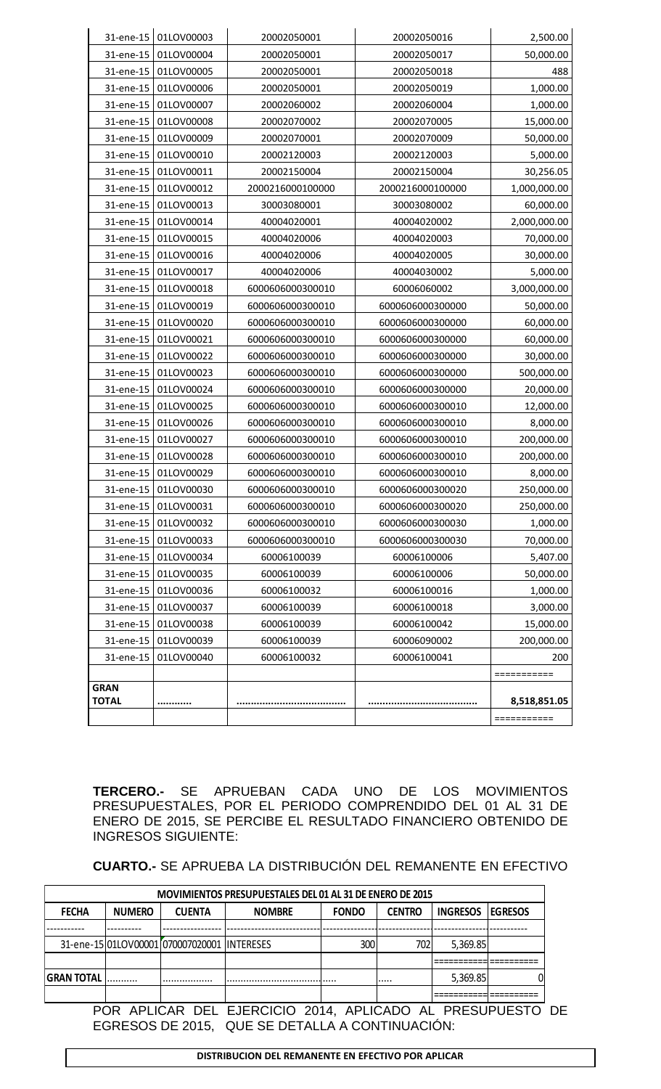|              |            |                  |                  | ===========  |
|--------------|------------|------------------|------------------|--------------|
| <b>TOTAL</b> |            |                  |                  | 8,518,851.05 |
| <b>GRAN</b>  |            |                  |                  | ===========  |
| 31-ene-15    | 01LOV00040 | 60006100032      | 60006100041      | 200          |
| 31-ene-15    | 01LOV00039 | 60006100039      | 60006090002      | 200,000.00   |
| 31-ene-15    | 01LOV00038 | 60006100039      | 60006100042      | 15,000.00    |
| 31-ene-15    | 01LOV00037 | 60006100039      | 60006100018      | 3,000.00     |
| 31-ene-15    | 01LOV00036 | 60006100032      | 60006100016      | 1,000.00     |
| 31-ene-15    | 01LOV00035 | 60006100039      | 60006100006      | 50,000.00    |
| 31-ene-15    | 01LOV00034 | 60006100039      | 60006100006      | 5,407.00     |
| 31-ene-15    | 01LOV00033 | 6000606000300010 | 6000606000300030 | 70,000.00    |
| 31-ene-15    | 01LOV00032 | 6000606000300010 | 6000606000300030 | 1,000.00     |
| 31-ene-15    | 01LOV00031 | 6000606000300010 | 6000606000300020 | 250,000.00   |
| 31-ene-15    | 01LOV00030 | 6000606000300010 | 6000606000300020 | 250,000.00   |
| 31-ene-15    | 01LOV00029 | 6000606000300010 | 6000606000300010 | 8,000.00     |
| 31-ene-15    | 01LOV00028 | 6000606000300010 | 6000606000300010 | 200,000.00   |
| 31-ene-15    | 01LOV00027 | 6000606000300010 | 6000606000300010 | 200,000.00   |
| 31-ene-15    | 01LOV00026 | 6000606000300010 | 6000606000300010 | 8,000.00     |
| 31-ene-15    | 01LOV00025 | 6000606000300010 | 6000606000300010 | 12,000.00    |
| 31-ene-15    | 01LOV00024 | 6000606000300010 | 6000606000300000 | 20,000.00    |
| 31-ene-15    | 01LOV00023 | 6000606000300010 | 6000606000300000 | 500,000.00   |
| 31-ene-15    | 01LOV00022 | 6000606000300010 | 6000606000300000 | 30,000.00    |
| 31-ene-15    | 01LOV00021 | 6000606000300010 | 6000606000300000 | 60,000.00    |
| 31-ene-15    | 01LOV00020 | 6000606000300010 | 6000606000300000 | 60,000.00    |
| 31-ene-15    | 01LOV00019 | 6000606000300010 | 6000606000300000 | 50,000.00    |
| 31-ene-15    | 01LOV00018 | 6000606000300010 | 60006060002      | 3,000,000.00 |
| 31-ene-15    | 01LOV00017 | 40004020006      | 40004030002      | 5,000.00     |
| 31-ene-15    | 01LOV00016 | 40004020006      | 40004020005      | 30,000.00    |
| 31-ene-15    | 01LOV00015 | 40004020006      | 40004020003      | 70,000.00    |
| 31-ene-15    | 01LOV00014 | 40004020001      | 40004020002      | 2,000,000.00 |
| 31-ene-15    | 01LOV00013 | 30003080001      | 30003080002      | 60,000.00    |
| 31-ene-15    | 01LOV00012 | 2000216000100000 | 2000216000100000 | 1,000,000.00 |
| 31-ene-15    | 01LOV00011 | 20002150004      | 20002150004      | 30,256.05    |
| 31-ene-15    | 01LOV00010 | 20002120003      | 20002120003      | 5,000.00     |
| 31-ene-15    | 01LOV00009 | 20002070001      | 20002070009      | 50,000.00    |
| 31-ene-15    | 01LOV00008 | 20002070002      | 20002070005      | 15,000.00    |
| 31-ene-15    | 01LOV00007 | 20002060002      | 20002060004      | 1,000.00     |
| 31-ene-15    | 01LOV00006 | 20002050001      | 20002050019      | 1,000.00     |
| 31-ene-15    | 01LOV00005 | 20002050001      | 20002050018      | 488          |
| 31-ene-15    | 01LOV00004 | 20002050001      | 20002050017      | 50,000.00    |
| 31-ene-15    | 01LOV00003 | 20002050001      | 20002050016      | 2,500.00     |

**TERCERO.-** SE APRUEBAN CADA UNO DE LOS MOVIMIENTOS PRESUPUESTALES, POR EL PERIODO COMPRENDIDO DEL 01 AL 31 DE ENERO DE 2015, SE PERCIBE EL RESULTADO FINANCIERO OBTENIDO DE INGRESOS SIGUIENTE:

**CUARTO.-** SE APRUEBA LA DISTRIBUCIÓN DEL REMANENTE EN EFECTIVO

| <b>MOVIMIENTOS PRESUPUESTALES DEL 01 AL 31 DE ENERO DE 2015</b> |               |                                             |               |              |               |                 |                |  |
|-----------------------------------------------------------------|---------------|---------------------------------------------|---------------|--------------|---------------|-----------------|----------------|--|
| <b>FECHA</b>                                                    | <b>NUMERO</b> | <b>CUENTA</b>                               | <b>NOMBRE</b> | <b>FONDO</b> | <b>CENTRO</b> | <b>INGRESOS</b> | <b>EGRESOS</b> |  |
|                                                                 |               |                                             |               |              |               |                 |                |  |
|                                                                 |               | 31-ene-15 01LOV00001 070007020001 INTERESES |               | 300          | 702           | 5,369.85        |                |  |
|                                                                 |               |                                             |               |              |               |                 |                |  |
| <b>GRAN TOTAL</b>                                               |               |                                             |               |              |               | 5,369.85        |                |  |
|                                                                 |               |                                             |               |              |               |                 |                |  |

POR APLICAR DEL EJERCICIO 2014, APLICADO AL PRESUPUESTO DE EGRESOS DE 2015, QUE SE DETALLA A CONTINUACIÓN: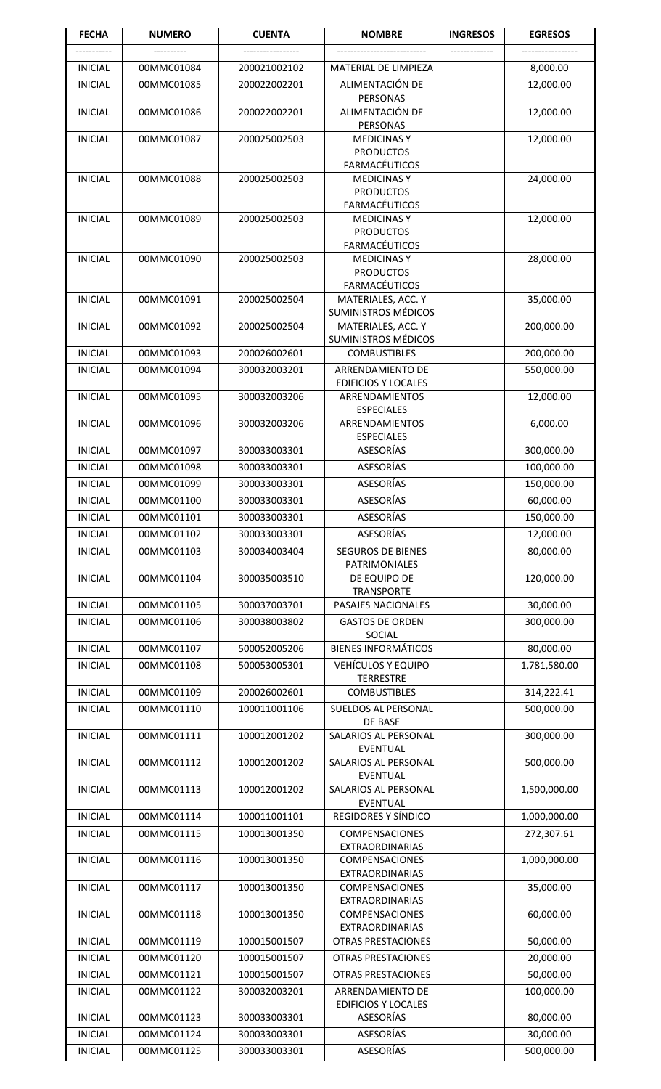| <b>FECHA</b>   | <b>NUMERO</b> | <b>CUENTA</b> | <b>NOMBRE</b>                                         | <b>INGRESOS</b> | <b>EGRESOS</b> |
|----------------|---------------|---------------|-------------------------------------------------------|-----------------|----------------|
|                |               |               |                                                       |                 |                |
| <b>INICIAL</b> | 00MMC01084    | 200021002102  | <b>MATERIAL DE LIMPIEZA</b>                           |                 | 8,000.00       |
| <b>INICIAL</b> | 00MMC01085    | 200022002201  | ALIMENTACIÓN DE<br>PERSONAS                           |                 | 12,000.00      |
| <b>INICIAL</b> | 00MMC01086    | 200022002201  | ALIMENTACIÓN DE<br>PERSONAS                           |                 | 12,000.00      |
| <b>INICIAL</b> | 00MMC01087    | 200025002503  | <b>MEDICINAS Y</b><br><b>PRODUCTOS</b>                |                 | 12,000.00      |
|                |               |               | <b>FARMACÉUTICOS</b>                                  |                 |                |
| <b>INICIAL</b> | 00MMC01088    | 200025002503  | <b>MEDICINAS Y</b>                                    |                 | 24,000.00      |
|                |               |               | <b>PRODUCTOS</b><br><b>FARMACÉUTICOS</b>              |                 |                |
| <b>INICIAL</b> | 00MMC01089    | 200025002503  | <b>MEDICINAS Y</b>                                    |                 | 12,000.00      |
|                |               |               | <b>PRODUCTOS</b><br><b>FARMACÉUTICOS</b>              |                 |                |
| <b>INICIAL</b> | 00MMC01090    | 200025002503  | <b>MEDICINAS Y</b>                                    |                 | 28,000.00      |
|                |               |               | <b>PRODUCTOS</b><br><b>FARMACÉUTICOS</b>              |                 |                |
| <b>INICIAL</b> | 00MMC01091    | 200025002504  | MATERIALES, ACC. Y<br><b>SUMINISTROS MÉDICOS</b>      |                 | 35,000.00      |
| <b>INICIAL</b> | 00MMC01092    | 200025002504  | MATERIALES, ACC. Y                                    |                 | 200,000.00     |
|                |               |               | <b>SUMINISTROS MÉDICOS</b>                            |                 |                |
| <b>INICIAL</b> | 00MMC01093    | 200026002601  | <b>COMBUSTIBLES</b>                                   |                 | 200,000.00     |
| <b>INICIAL</b> | 00MMC01094    | 300032003201  | <b>ARRENDAMIENTO DE</b><br><b>EDIFICIOS Y LOCALES</b> |                 | 550,000.00     |
| <b>INICIAL</b> | 00MMC01095    | 300032003206  | ARRENDAMIENTOS<br><b>ESPECIALES</b>                   |                 | 12,000.00      |
| <b>INICIAL</b> | 00MMC01096    | 300032003206  | ARRENDAMIENTOS<br><b>ESPECIALES</b>                   |                 | 6,000.00       |
| <b>INICIAL</b> | 00MMC01097    | 300033003301  | ASESORÍAS                                             |                 | 300,000.00     |
| <b>INICIAL</b> | 00MMC01098    | 300033003301  | <b>ASESORÍAS</b>                                      |                 | 100,000.00     |
| <b>INICIAL</b> | 00MMC01099    | 300033003301  | <b>ASESORÍAS</b>                                      |                 | 150,000.00     |
| <b>INICIAL</b> | 00MMC01100    | 300033003301  | <b>ASESORÍAS</b>                                      |                 | 60,000.00      |
| <b>INICIAL</b> | 00MMC01101    | 300033003301  | <b>ASESORÍAS</b>                                      |                 | 150,000.00     |
| <b>INICIAL</b> | 00MMC01102    | 300033003301  | <b>ASESORÍAS</b>                                      |                 | 12,000.00      |
| <b>INICIAL</b> | 00MMC01103    | 300034003404  | <b>SEGUROS DE BIENES</b><br>PATRIMONIALES             |                 | 80,000.00      |
| <b>INICIAL</b> | 00MMC01104    | 300035003510  | DE EQUIPO DE<br><b>TRANSPORTE</b>                     |                 | 120,000.00     |
| <b>INICIAL</b> | 00MMC01105    | 300037003701  | PASAJES NACIONALES                                    |                 | 30,000.00      |
| <b>INICIAL</b> | 00MMC01106    | 300038003802  | <b>GASTOS DE ORDEN</b><br>SOCIAL                      |                 | 300,000.00     |
| <b>INICIAL</b> | 00MMC01107    | 500052005206  | <b>BIENES INFORMÁTICOS</b>                            |                 | 80,000.00      |
| <b>INICIAL</b> | 00MMC01108    | 500053005301  | <b>VEHÍCULOS Y EQUIPO</b>                             |                 | 1,781,580.00   |
|                |               |               | <b>TERRESTRE</b>                                      |                 |                |
| <b>INICIAL</b> | 00MMC01109    | 200026002601  | <b>COMBUSTIBLES</b>                                   |                 | 314,222.41     |
| <b>INICIAL</b> | 00MMC01110    | 100011001106  | SUELDOS AL PERSONAL                                   |                 | 500,000.00     |
| <b>INICIAL</b> | 00MMC01111    | 100012001202  | DE BASE<br>SALARIOS AL PERSONAL                       |                 | 300,000.00     |
| <b>INICIAL</b> | 00MMC01112    | 100012001202  | <b>EVENTUAL</b><br>SALARIOS AL PERSONAL               |                 | 500,000.00     |
|                |               |               | <b>EVENTUAL</b>                                       |                 |                |
| <b>INICIAL</b> | 00MMC01113    | 100012001202  | SALARIOS AL PERSONAL<br><b>EVENTUAL</b>               |                 | 1,500,000.00   |
| <b>INICIAL</b> | 00MMC01114    | 100011001101  | REGIDORES Y SÍNDICO                                   |                 | 1,000,000.00   |
| <b>INICIAL</b> | 00MMC01115    | 100013001350  | <b>COMPENSACIONES</b><br><b>EXTRAORDINARIAS</b>       |                 | 272,307.61     |
| <b>INICIAL</b> | 00MMC01116    | 100013001350  | COMPENSACIONES<br><b>EXTRAORDINARIAS</b>              |                 | 1,000,000.00   |
| <b>INICIAL</b> | 00MMC01117    | 100013001350  | <b>COMPENSACIONES</b>                                 |                 | 35,000.00      |
| <b>INICIAL</b> | 00MMC01118    | 100013001350  | <b>EXTRAORDINARIAS</b><br><b>COMPENSACIONES</b>       |                 | 60,000.00      |
| <b>INICIAL</b> | 00MMC01119    | 100015001507  | <b>EXTRAORDINARIAS</b><br><b>OTRAS PRESTACIONES</b>   |                 | 50,000.00      |
| <b>INICIAL</b> | 00MMC01120    | 100015001507  | <b>OTRAS PRESTACIONES</b>                             |                 | 20,000.00      |
| <b>INICIAL</b> | 00MMC01121    | 100015001507  | <b>OTRAS PRESTACIONES</b>                             |                 | 50,000.00      |
| <b>INICIAL</b> | 00MMC01122    | 300032003201  | ARRENDAMIENTO DE                                      |                 | 100,000.00     |
| <b>INICIAL</b> | 00MMC01123    | 300033003301  | <b>EDIFICIOS Y LOCALES</b><br><b>ASESORÍAS</b>        |                 | 80,000.00      |
| <b>INICIAL</b> | 00MMC01124    | 300033003301  | <b>ASESORÍAS</b>                                      |                 | 30,000.00      |
| <b>INICIAL</b> | 00MMC01125    | 300033003301  | ASESORÍAS                                             |                 | 500,000.00     |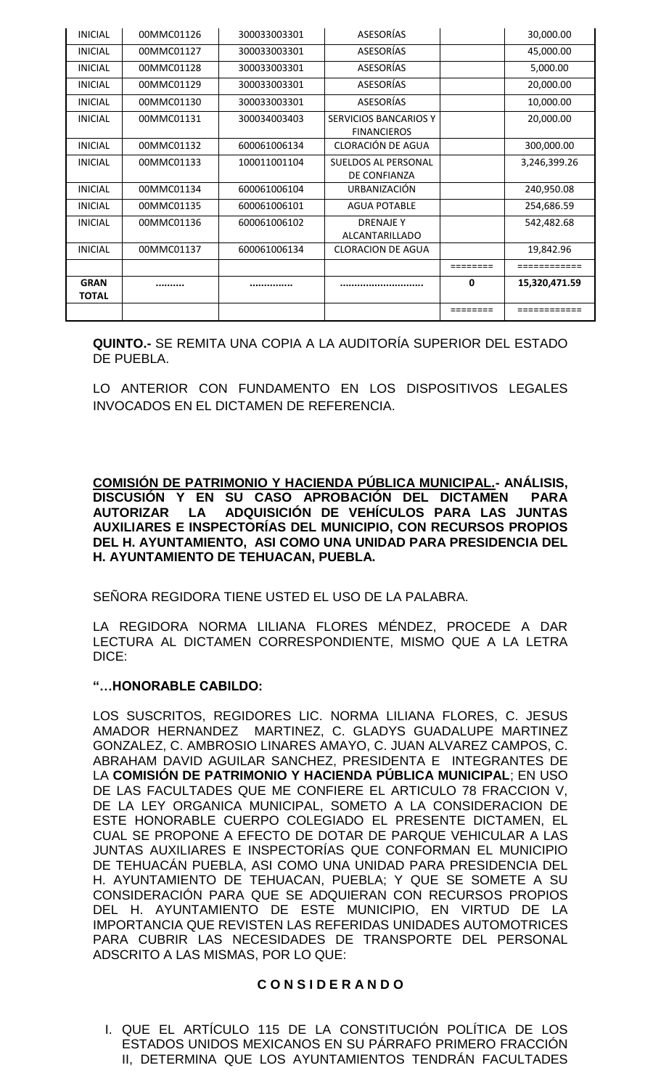| <b>INICIAL</b>              | 00MMC01126 | 300033003301 | ASESORÍAS                                          |              | 30,000.00     |
|-----------------------------|------------|--------------|----------------------------------------------------|--------------|---------------|
| <b>INICIAL</b>              | 00MMC01127 | 300033003301 | ASESORÍAS                                          |              | 45,000.00     |
| <b>INICIAL</b>              | 00MMC01128 | 300033003301 | ASESORÍAS                                          |              | 5,000.00      |
| <b>INICIAL</b>              | 00MMC01129 | 300033003301 | ASESORÍAS                                          |              | 20,000.00     |
| <b>INICIAL</b>              | 00MMC01130 | 300033003301 | ASESORÍAS                                          |              | 10,000.00     |
| <b>INICIAL</b>              | 00MMC01131 | 300034003403 | <b>SERVICIOS BANCARIOS Y</b><br><b>FINANCIEROS</b> |              | 20,000.00     |
| <b>INICIAL</b>              | 00MMC01132 | 600061006134 | CLORACIÓN DE AGUA                                  |              | 300,000.00    |
| <b>INICIAL</b>              | 00MMC01133 | 100011001104 | <b>SUELDOS AL PERSONAL</b><br>DE CONFIANZA         |              | 3,246,399.26  |
| <b>INICIAL</b>              | 00MMC01134 | 600061006104 | <b>URBANIZACIÓN</b>                                |              | 240,950.08    |
| <b>INICIAL</b>              | 00MMC01135 | 600061006101 | <b>AGUA POTABLE</b>                                |              | 254,686.59    |
| <b>INICIAL</b>              | 00MMC01136 | 600061006102 | <b>DRENAJE Y</b><br>ALCANTARILLADO                 |              | 542,482.68    |
| <b>INICIAL</b>              | 00MMC01137 | 600061006134 | <b>CLORACION DE AGUA</b>                           |              | 19,842.96     |
|                             |            |              |                                                    | ========     | ============  |
| <b>GRAN</b><br><b>TOTAL</b> |            |              |                                                    | $\mathbf{0}$ | 15,320,471.59 |
|                             |            |              |                                                    |              |               |

**QUINTO.-** SE REMITA UNA COPIA A LA AUDITORÍA SUPERIOR DEL ESTADO DE PUEBLA.

LO ANTERIOR CON FUNDAMENTO EN LOS DISPOSITIVOS LEGALES INVOCADOS EN EL DICTAMEN DE REFERENCIA.

**COMISIÓN DE PATRIMONIO Y HACIENDA PÚBLICA MUNICIPAL.- ANÁLISIS, DISCUSIÓN Y EN SU CASO APROBACIÓN DEL DICTAMEN PARA AUTORIZAR LA ADQUISICIÓN DE VEHÍCULOS PARA LAS JUNTAS AUXILIARES E INSPECTORÍAS DEL MUNICIPIO, CON RECURSOS PROPIOS DEL H. AYUNTAMIENTO, ASI COMO UNA UNIDAD PARA PRESIDENCIA DEL H. AYUNTAMIENTO DE TEHUACAN, PUEBLA.**

SEÑORA REGIDORA TIENE USTED EL USO DE LA PALABRA.

LA REGIDORA NORMA LILIANA FLORES MÉNDEZ, PROCEDE A DAR LECTURA AL DICTAMEN CORRESPONDIENTE, MISMO QUE A LA LETRA DICE:

## **"…HONORABLE CABILDO:**

LOS SUSCRITOS, REGIDORES LIC. NORMA LILIANA FLORES, C. JESUS AMADOR HERNANDEZ MARTINEZ, C. GLADYS GUADALUPE MARTINEZ GONZALEZ, C. AMBROSIO LINARES AMAYO, C. JUAN ALVAREZ CAMPOS, C. ABRAHAM DAVID AGUILAR SANCHEZ, PRESIDENTA E INTEGRANTES DE LA **COMISIÓN DE PATRIMONIO Y HACIENDA PÚBLICA MUNICIPAL**; EN USO DE LAS FACULTADES QUE ME CONFIERE EL ARTICULO 78 FRACCION V, DE LA LEY ORGANICA MUNICIPAL, SOMETO A LA CONSIDERACION DE ESTE HONORABLE CUERPO COLEGIADO EL PRESENTE DICTAMEN, EL CUAL SE PROPONE A EFECTO DE DOTAR DE PARQUE VEHICULAR A LAS JUNTAS AUXILIARES E INSPECTORÍAS QUE CONFORMAN EL MUNICIPIO DE TEHUACÁN PUEBLA, ASI COMO UNA UNIDAD PARA PRESIDENCIA DEL H. AYUNTAMIENTO DE TEHUACAN, PUEBLA; Y QUE SE SOMETE A SU CONSIDERACIÓN PARA QUE SE ADQUIERAN CON RECURSOS PROPIOS DEL H. AYUNTAMIENTO DE ESTE MUNICIPIO, EN VIRTUD DE LA IMPORTANCIA QUE REVISTEN LAS REFERIDAS UNIDADES AUTOMOTRICES PARA CUBRIR LAS NECESIDADES DE TRANSPORTE DEL PERSONAL ADSCRITO A LAS MISMAS, POR LO QUE:

## **C O N S I D E R A N D O**

I. QUE EL ARTÍCULO 115 DE LA CONSTITUCIÓN POLÍTICA DE LOS ESTADOS UNIDOS MEXICANOS EN SU PÁRRAFO PRIMERO FRACCIÓN II, DETERMINA QUE LOS AYUNTAMIENTOS TENDRÁN FACULTADES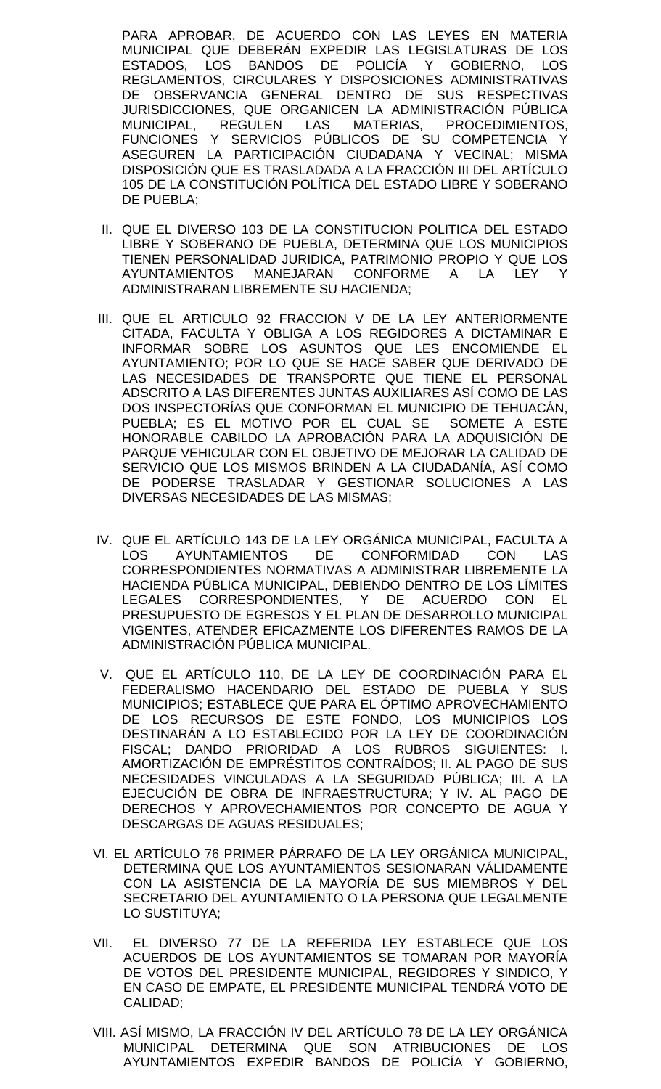PARA APROBAR, DE ACUERDO CON LAS LEYES EN MATERIA MUNICIPAL QUE DEBERÁN EXPEDIR LAS LEGISLATURAS DE LOS ESTADOS, LOS BANDOS DE POLICÍA Y GOBIERNO, LOS REGLAMENTOS, CIRCULARES Y DISPOSICIONES ADMINISTRATIVAS DE OBSERVANCIA GENERAL DENTRO DE SUS RESPECTIVAS JURISDICCIONES, QUE ORGANICEN LA ADMINISTRACIÓN PÚBLICA MUNICIPAL, REGULEN LAS MATERIAS, PROCEDIMIENTOS, FUNCIONES Y SERVICIOS PÚBLICOS DE SU COMPETENCIA Y ASEGUREN LA PARTICIPACIÓN CIUDADANA Y VECINAL; MISMA DISPOSICIÓN QUE ES TRASLADADA A LA FRACCIÓN III DEL ARTÍCULO 105 DE LA CONSTITUCIÓN POLÍTICA DEL ESTADO LIBRE Y SOBERANO DE PUEBLA;

- II. QUE EL DIVERSO 103 DE LA CONSTITUCION POLITICA DEL ESTADO LIBRE Y SOBERANO DE PUEBLA, DETERMINA QUE LOS MUNICIPIOS TIENEN PERSONALIDAD JURIDICA, PATRIMONIO PROPIO Y QUE LOS AYUNTAMIENTOS MANEJARAN CONFORME A LA LEY Y ADMINISTRARAN LIBREMENTE SU HACIENDA;
- III. QUE EL ARTICULO 92 FRACCION V DE LA LEY ANTERIORMENTE CITADA, FACULTA Y OBLIGA A LOS REGIDORES A DICTAMINAR E INFORMAR SOBRE LOS ASUNTOS QUE LES ENCOMIENDE EL AYUNTAMIENTO; POR LO QUE SE HACE SABER QUE DERIVADO DE LAS NECESIDADES DE TRANSPORTE QUE TIENE EL PERSONAL ADSCRITO A LAS DIFERENTES JUNTAS AUXILIARES ASÍ COMO DE LAS DOS INSPECTORÍAS QUE CONFORMAN EL MUNICIPIO DE TEHUACÁN, PUEBLA; ES EL MOTIVO POR EL CUAL SE SOMETE A ESTE HONORABLE CABILDO LA APROBACIÓN PARA LA ADQUISICIÓN DE PARQUE VEHICULAR CON EL OBJETIVO DE MEJORAR LA CALIDAD DE SERVICIO QUE LOS MISMOS BRINDEN A LA CIUDADANÍA, ASÍ COMO DE PODERSE TRASLADAR Y GESTIONAR SOLUCIONES A LAS DIVERSAS NECESIDADES DE LAS MISMAS;
- IV. QUE EL ARTÍCULO 143 DE LA LEY ORGÁNICA MUNICIPAL, FACULTA A LOS AYUNTAMIENTOS DE CONFORMIDAD CON LAS CORRESPONDIENTES NORMATIVAS A ADMINISTRAR LIBREMENTE LA HACIENDA PÚBLICA MUNICIPAL, DEBIENDO DENTRO DE LOS LÍMITES LEGALES CORRESPONDIENTES, Y DE ACUERDO CON EL PRESUPUESTO DE EGRESOS Y EL PLAN DE DESARROLLO MUNICIPAL VIGENTES, ATENDER EFICAZMENTE LOS DIFERENTES RAMOS DE LA ADMINISTRACIÓN PÚBLICA MUNICIPAL.
- V. QUE EL ARTÍCULO 110, DE LA LEY DE COORDINACIÓN PARA EL FEDERALISMO HACENDARIO DEL ESTADO DE PUEBLA Y SUS MUNICIPIOS; ESTABLECE QUE PARA EL ÓPTIMO APROVECHAMIENTO DE LOS RECURSOS DE ESTE FONDO, LOS MUNICIPIOS LOS DESTINARÁN A LO ESTABLECIDO POR LA LEY DE COORDINACIÓN FISCAL; DANDO PRIORIDAD A LOS RUBROS SIGUIENTES: I. AMORTIZACIÓN DE EMPRÉSTITOS CONTRAÍDOS; II. AL PAGO DE SUS NECESIDADES VINCULADAS A LA SEGURIDAD PÚBLICA; III. A LA EJECUCIÓN DE OBRA DE INFRAESTRUCTURA; Y IV. AL PAGO DE DERECHOS Y APROVECHAMIENTOS POR CONCEPTO DE AGUA Y DESCARGAS DE AGUAS RESIDUALES;
- VI. EL ARTÍCULO 76 PRIMER PÁRRAFO DE LA LEY ORGÁNICA MUNICIPAL, DETERMINA QUE LOS AYUNTAMIENTOS SESIONARAN VÁLIDAMENTE CON LA ASISTENCIA DE LA MAYORÍA DE SUS MIEMBROS Y DEL SECRETARIO DEL AYUNTAMIENTO O LA PERSONA QUE LEGALMENTE LO SUSTITUYA;
- VII. EL DIVERSO 77 DE LA REFERIDA LEY ESTABLECE QUE LOS ACUERDOS DE LOS AYUNTAMIENTOS SE TOMARAN POR MAYORÍA DE VOTOS DEL PRESIDENTE MUNICIPAL, REGIDORES Y SINDICO, Y EN CASO DE EMPATE, EL PRESIDENTE MUNICIPAL TENDRÁ VOTO DE CALIDAD;
- VIII. ASÍ MISMO, LA FRACCIÓN IV DEL ARTÍCULO 78 DE LA LEY ORGÁNICA MUNICIPAL DETERMINA QUE SON ATRIBUCIONES DE LOS AYUNTAMIENTOS EXPEDIR BANDOS DE POLICÍA Y GOBIERNO,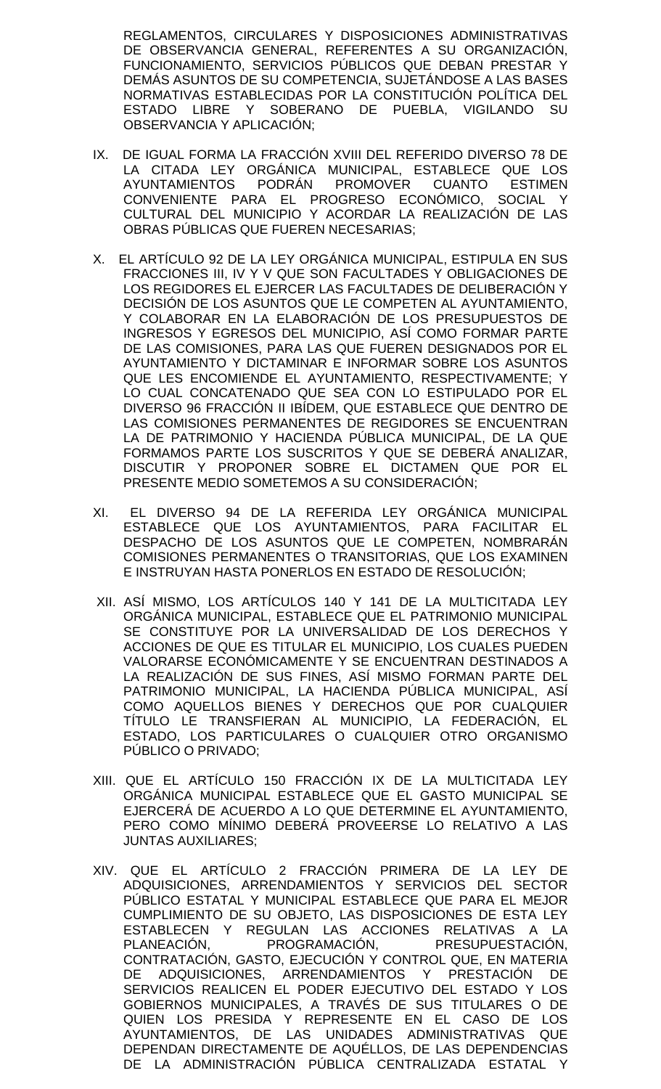REGLAMENTOS, CIRCULARES Y DISPOSICIONES ADMINISTRATIVAS DE OBSERVANCIA GENERAL, REFERENTES A SU ORGANIZACIÓN, FUNCIONAMIENTO, SERVICIOS PÚBLICOS QUE DEBAN PRESTAR Y DEMÁS ASUNTOS DE SU COMPETENCIA, SUJETÁNDOSE A LAS BASES NORMATIVAS ESTABLECIDAS POR LA CONSTITUCIÓN POLÍTICA DEL ESTADO LIBRE Y SOBERANO DE PUEBLA, VIGILANDO SU OBSERVANCIA Y APLICACIÓN;

- IX. DE IGUAL FORMA LA FRACCIÓN XVIII DEL REFERIDO DIVERSO 78 DE LA CITADA LEY ORGÁNICA MUNICIPAL, ESTABLECE QUE LOS AYUNTAMIENTOS PODRÁN PROMOVER CUANTO ESTIMEN CONVENIENTE PARA EL PROGRESO ECONÓMICO, SOCIAL Y CULTURAL DEL MUNICIPIO Y ACORDAR LA REALIZACIÓN DE LAS OBRAS PÚBLICAS QUE FUEREN NECESARIAS;
- X. EL ARTÍCULO 92 DE LA LEY ORGÁNICA MUNICIPAL, ESTIPULA EN SUS FRACCIONES III, IV Y V QUE SON FACULTADES Y OBLIGACIONES DE LOS REGIDORES EL EJERCER LAS FACULTADES DE DELIBERACIÓN Y DECISIÓN DE LOS ASUNTOS QUE LE COMPETEN AL AYUNTAMIENTO, Y COLABORAR EN LA ELABORACIÓN DE LOS PRESUPUESTOS DE INGRESOS Y EGRESOS DEL MUNICIPIO, ASÍ COMO FORMAR PARTE DE LAS COMISIONES, PARA LAS QUE FUEREN DESIGNADOS POR EL AYUNTAMIENTO Y DICTAMINAR E INFORMAR SOBRE LOS ASUNTOS QUE LES ENCOMIENDE EL AYUNTAMIENTO, RESPECTIVAMENTE; Y LO CUAL CONCATENADO QUE SEA CON LO ESTIPULADO POR EL DIVERSO 96 FRACCIÓN II IBÍDEM, QUE ESTABLECE QUE DENTRO DE LAS COMISIONES PERMANENTES DE REGIDORES SE ENCUENTRAN LA DE PATRIMONIO Y HACIENDA PÚBLICA MUNICIPAL, DE LA QUE FORMAMOS PARTE LOS SUSCRITOS Y QUE SE DEBERÁ ANALIZAR, DISCUTIR Y PROPONER SOBRE EL DICTAMEN QUE POR EL PRESENTE MEDIO SOMETEMOS A SU CONSIDERACIÓN;
- XI. EL DIVERSO 94 DE LA REFERIDA LEY ORGÁNICA MUNICIPAL ESTABLECE QUE LOS AYUNTAMIENTOS, PARA FACILITAR EL DESPACHO DE LOS ASUNTOS QUE LE COMPETEN, NOMBRARÁN COMISIONES PERMANENTES O TRANSITORIAS, QUE LOS EXAMINEN E INSTRUYAN HASTA PONERLOS EN ESTADO DE RESOLUCIÓN;
- XII. ASÍ MISMO, LOS ARTÍCULOS 140 Y 141 DE LA MULTICITADA LEY ORGÁNICA MUNICIPAL, ESTABLECE QUE EL PATRIMONIO MUNICIPAL SE CONSTITUYE POR LA UNIVERSALIDAD DE LOS DERECHOS Y ACCIONES DE QUE ES TITULAR EL MUNICIPIO, LOS CUALES PUEDEN VALORARSE ECONÓMICAMENTE Y SE ENCUENTRAN DESTINADOS A LA REALIZACIÓN DE SUS FINES, ASÍ MISMO FORMAN PARTE DEL PATRIMONIO MUNICIPAL, LA HACIENDA PÚBLICA MUNICIPAL, ASÍ COMO AQUELLOS BIENES Y DERECHOS QUE POR CUALQUIER TÍTULO LE TRANSFIERAN AL MUNICIPIO, LA FEDERACIÓN, EL ESTADO, LOS PARTICULARES O CUALQUIER OTRO ORGANISMO PÚBLICO O PRIVADO;
- XIII. QUE EL ARTÍCULO 150 FRACCIÓN IX DE LA MULTICITADA LEY ORGÁNICA MUNICIPAL ESTABLECE QUE EL GASTO MUNICIPAL SE EJERCERÁ DE ACUERDO A LO QUE DETERMINE EL AYUNTAMIENTO, PERO COMO MÍNIMO DEBERÁ PROVEERSE LO RELATIVO A LAS JUNTAS AUXILIARES;
- XIV. QUE EL ARTÍCULO 2 FRACCIÓN PRIMERA DE LA LEY DE ADQUISICIONES, ARRENDAMIENTOS Y SERVICIOS DEL SECTOR PÚBLICO ESTATAL Y MUNICIPAL ESTABLECE QUE PARA EL MEJOR CUMPLIMIENTO DE SU OBJETO, LAS DISPOSICIONES DE ESTA LEY ESTABLECEN Y REGULAN LAS ACCIONES RELATIVAS A LA<br>PLANEACIÓN, PROGRAMACIÓN, PRESUPUESTACIÓN, PLANEACIÓN, PROGRAMACIÓN, PRESUPUESTACIÓN, CONTRATACIÓN, GASTO, EJECUCIÓN Y CONTROL QUE, EN MATERIA DE ADQUISICIONES, ARRENDAMIENTOS Y PRESTACIÓN DE SERVICIOS REALICEN EL PODER EJECUTIVO DEL ESTADO Y LOS GOBIERNOS MUNICIPALES, A TRAVÉS DE SUS TITULARES O DE QUIEN LOS PRESIDA Y REPRESENTE EN EL CASO DE LOS AYUNTAMIENTOS, DE LAS UNIDADES ADMINISTRATIVAS QUE DEPENDAN DIRECTAMENTE DE AQUÉLLOS, DE LAS DEPENDENCIAS DE LA ADMINISTRACIÓN PÚBLICA CENTRALIZADA ESTATAL Y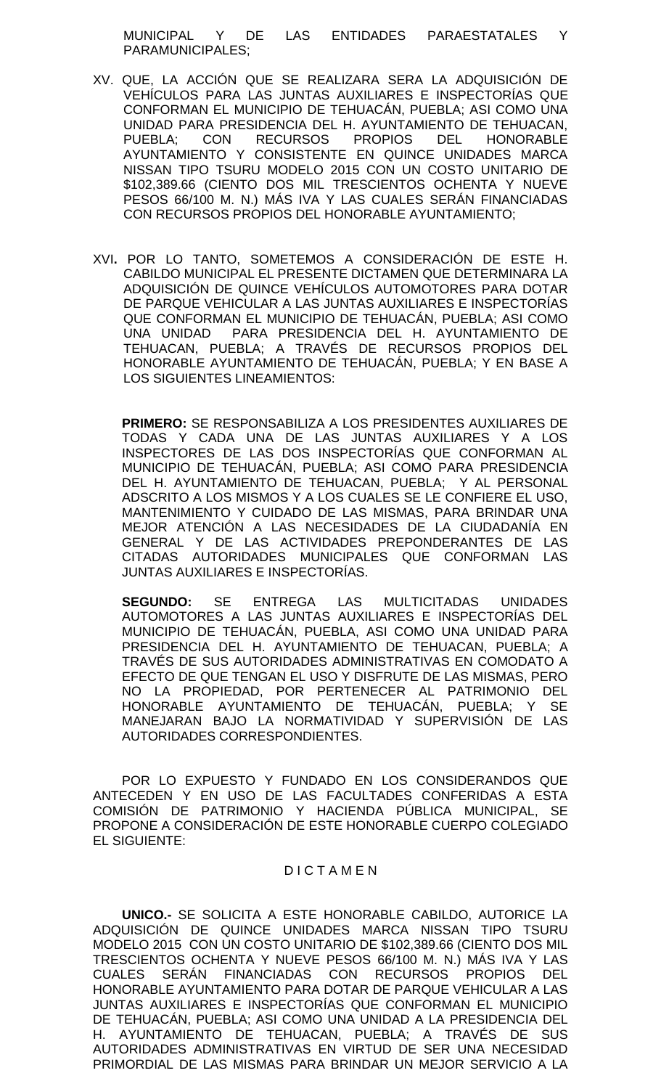MUNICIPAL Y DE LAS ENTIDADES PARAESTATALES Y PARAMUNICIPALES;

- XV. QUE, LA ACCIÓN QUE SE REALIZARA SERA LA ADQUISICIÓN DE VEHÍCULOS PARA LAS JUNTAS AUXILIARES E INSPECTORÍAS QUE CONFORMAN EL MUNICIPIO DE TEHUACÁN, PUEBLA; ASI COMO UNA UNIDAD PARA PRESIDENCIA DEL H. AYUNTAMIENTO DE TEHUACAN, PUEBLA; CON RECURSOS PROPIOS DEL HONORABLE AYUNTAMIENTO Y CONSISTENTE EN QUINCE UNIDADES MARCA NISSAN TIPO TSURU MODELO 2015 CON UN COSTO UNITARIO DE \$102,389.66 (CIENTO DOS MIL TRESCIENTOS OCHENTA Y NUEVE PESOS 66/100 M. N.) MÁS IVA Y LAS CUALES SERÁN FINANCIADAS CON RECURSOS PROPIOS DEL HONORABLE AYUNTAMIENTO;
- XVI**.** POR LO TANTO, SOMETEMOS A CONSIDERACIÓN DE ESTE H. CABILDO MUNICIPAL EL PRESENTE DICTAMEN QUE DETERMINARA LA ADQUISICIÓN DE QUINCE VEHÍCULOS AUTOMOTORES PARA DOTAR DE PARQUE VEHICULAR A LAS JUNTAS AUXILIARES E INSPECTORÍAS QUE CONFORMAN EL MUNICIPIO DE TEHUACÁN, PUEBLA; ASI COMO UNA UNIDAD PARA PRESIDENCIA DEL H. AYUNTAMIENTO DE TEHUACAN, PUEBLA; A TRAVÉS DE RECURSOS PROPIOS DEL HONORABLE AYUNTAMIENTO DE TEHUACÁN, PUEBLA; Y EN BASE A LOS SIGUIENTES LINEAMIENTOS:

**PRIMERO:** SE RESPONSABILIZA A LOS PRESIDENTES AUXILIARES DE TODAS Y CADA UNA DE LAS JUNTAS AUXILIARES Y A LOS INSPECTORES DE LAS DOS INSPECTORÍAS QUE CONFORMAN AL MUNICIPIO DE TEHUACÁN, PUEBLA; ASI COMO PARA PRESIDENCIA DEL H. AYUNTAMIENTO DE TEHUACAN, PUEBLA; Y AL PERSONAL ADSCRITO A LOS MISMOS Y A LOS CUALES SE LE CONFIERE EL USO, MANTENIMIENTO Y CUIDADO DE LAS MISMAS, PARA BRINDAR UNA MEJOR ATENCIÓN A LAS NECESIDADES DE LA CIUDADANÍA EN GENERAL Y DE LAS ACTIVIDADES PREPONDERANTES DE LAS CITADAS AUTORIDADES MUNICIPALES QUE CONFORMAN LAS JUNTAS AUXILIARES E INSPECTORÍAS.

**SEGUNDO:** SE ENTREGA LAS MULTICITADAS UNIDADES AUTOMOTORES A LAS JUNTAS AUXILIARES E INSPECTORÍAS DEL MUNICIPIO DE TEHUACÁN, PUEBLA, ASI COMO UNA UNIDAD PARA PRESIDENCIA DEL H. AYUNTAMIENTO DE TEHUACAN, PUEBLA; A TRAVÉS DE SUS AUTORIDADES ADMINISTRATIVAS EN COMODATO A EFECTO DE QUE TENGAN EL USO Y DISFRUTE DE LAS MISMAS, PERO NO LA PROPIEDAD, POR PERTENECER AL PATRIMONIO DEL HONORABLE AYUNTAMIENTO DE TEHUACÁN, PUEBLA; Y SE MANEJARAN BAJO LA NORMATIVIDAD Y SUPERVISIÓN DE LAS AUTORIDADES CORRESPONDIENTES.

POR LO EXPUESTO Y FUNDADO EN LOS CONSIDERANDOS QUE ANTECEDEN Y EN USO DE LAS FACULTADES CONFERIDAS A ESTA COMISIÓN DE PATRIMONIO Y HACIENDA PÚBLICA MUNICIPAL, SE PROPONE A CONSIDERACIÓN DE ESTE HONORABLE CUERPO COLEGIADO EL SIGUIENTE:

## D I C T A M E N

**UNICO.-** SE SOLICITA A ESTE HONORABLE CABILDO, AUTORICE LA ADQUISICIÓN DE QUINCE UNIDADES MARCA NISSAN TIPO TSURU MODELO 2015 CON UN COSTO UNITARIO DE \$102,389.66 (CIENTO DOS MIL TRESCIENTOS OCHENTA Y NUEVE PESOS 66/100 M. N.) MÁS IVA Y LAS CUALES SERÁN FINANCIADAS CON RECURSOS PROPIOS DEL HONORABLE AYUNTAMIENTO PARA DOTAR DE PARQUE VEHICULAR A LAS JUNTAS AUXILIARES E INSPECTORÍAS QUE CONFORMAN EL MUNICIPIO DE TEHUACÁN, PUEBLA; ASI COMO UNA UNIDAD A LA PRESIDENCIA DEL H. AYUNTAMIENTO DE TEHUACAN, PUEBLA; A TRAVÉS DE SUS AUTORIDADES ADMINISTRATIVAS EN VIRTUD DE SER UNA NECESIDAD PRIMORDIAL DE LAS MISMAS PARA BRINDAR UN MEJOR SERVICIO A LA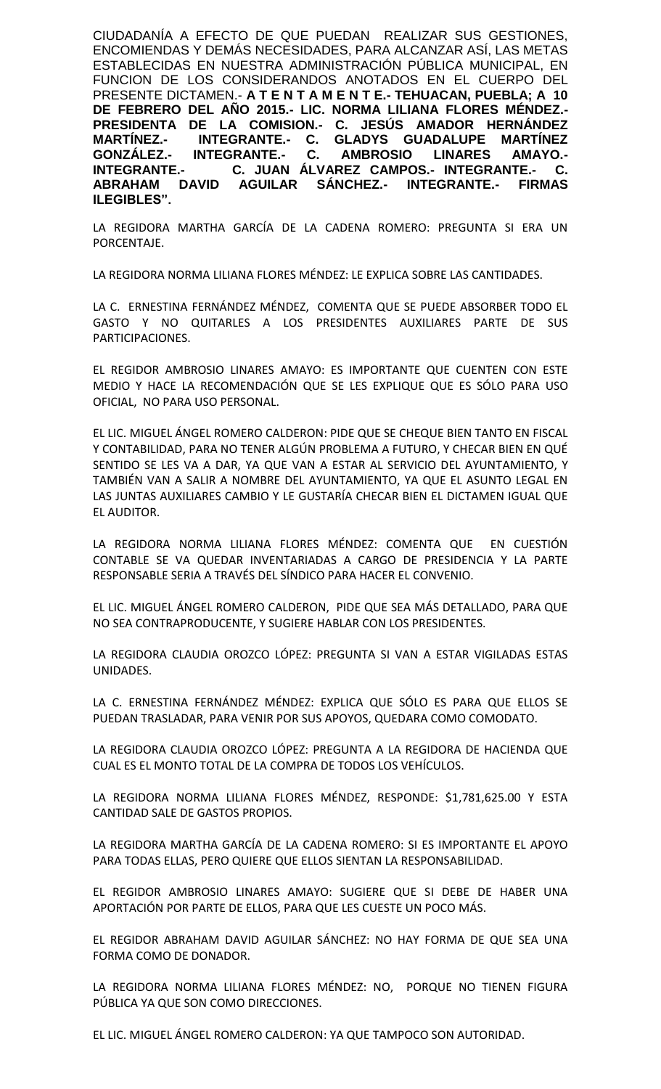CIUDADANÍA A EFECTO DE QUE PUEDAN REALIZAR SUS GESTIONES, ENCOMIENDAS Y DEMÁS NECESIDADES, PARA ALCANZAR ASÍ, LAS METAS ESTABLECIDAS EN NUESTRA ADMINISTRACIÓN PÚBLICA MUNICIPAL, EN FUNCION DE LOS CONSIDERANDOS ANOTADOS EN EL CUERPO DEL PRESENTE DICTAMEN.- **A T E N T A M E N T E.- TEHUACAN, PUEBLA; A 10 DE FEBRERO DEL AÑO 2015.- LIC. NORMA LILIANA FLORES MÉNDEZ.- PRESIDENTA DE LA COMISION.- C. JESÚS AMADOR HERNÁNDEZ MARTÍNEZ.- INTEGRANTE.- C. GLADYS GUADALUPE MARTÍNEZ GONZÁLEZ.- INTEGRANTE.- C. AMBROSIO LINARES AMAYO.- INTEGRANTE.- C. JUAN ÁLVAREZ CAMPOS.- INTEGRANTE.- C. ABRAHAM DAVID AGUILAR SÁNCHEZ.- INTEGRANTE.- FIRMAS ILEGIBLES".**

LA REGIDORA MARTHA GARCÍA DE LA CADENA ROMERO: PREGUNTA SI ERA UN PORCENTAJE.

LA REGIDORA NORMA LILIANA FLORES MÉNDEZ: LE EXPLICA SOBRE LAS CANTIDADES.

LA C. ERNESTINA FERNÁNDEZ MÉNDEZ, COMENTA QUE SE PUEDE ABSORBER TODO EL GASTO Y NO QUITARLES A LOS PRESIDENTES AUXILIARES PARTE DE SUS PARTICIPACIONES.

EL REGIDOR AMBROSIO LINARES AMAYO: ES IMPORTANTE QUE CUENTEN CON ESTE MEDIO Y HACE LA RECOMENDACIÓN QUE SE LES EXPLIQUE QUE ES SÓLO PARA USO OFICIAL, NO PARA USO PERSONAL.

EL LIC. MIGUEL ÁNGEL ROMERO CALDERON: PIDE QUE SE CHEQUE BIEN TANTO EN FISCAL Y CONTABILIDAD, PARA NO TENER ALGÚN PROBLEMA A FUTURO, Y CHECAR BIEN EN QUÉ SENTIDO SE LES VA A DAR, YA QUE VAN A ESTAR AL SERVICIO DEL AYUNTAMIENTO, Y TAMBIÉN VAN A SALIR A NOMBRE DEL AYUNTAMIENTO, YA QUE EL ASUNTO LEGAL EN LAS JUNTAS AUXILIARES CAMBIO Y LE GUSTARÍA CHECAR BIEN EL DICTAMEN IGUAL QUE EL AUDITOR.

LA REGIDORA NORMA LILIANA FLORES MÉNDEZ: COMENTA QUE EN CUESTIÓN CONTABLE SE VA QUEDAR INVENTARIADAS A CARGO DE PRESIDENCIA Y LA PARTE RESPONSABLE SERIA A TRAVÉS DEL SÍNDICO PARA HACER EL CONVENIO.

EL LIC. MIGUEL ÁNGEL ROMERO CALDERON, PIDE QUE SEA MÁS DETALLADO, PARA QUE NO SEA CONTRAPRODUCENTE, Y SUGIERE HABLAR CON LOS PRESIDENTES.

LA REGIDORA CLAUDIA OROZCO LÓPEZ: PREGUNTA SI VAN A ESTAR VIGILADAS ESTAS UNIDADES.

LA C. ERNESTINA FERNÁNDEZ MÉNDEZ: EXPLICA QUE SÓLO ES PARA QUE ELLOS SE PUEDAN TRASLADAR, PARA VENIR POR SUS APOYOS, QUEDARA COMO COMODATO.

LA REGIDORA CLAUDIA OROZCO LÓPEZ: PREGUNTA A LA REGIDORA DE HACIENDA QUE CUAL ES EL MONTO TOTAL DE LA COMPRA DE TODOS LOS VEHÍCULOS.

LA REGIDORA NORMA LILIANA FLORES MÉNDEZ, RESPONDE: \$1,781,625.00 Y ESTA CANTIDAD SALE DE GASTOS PROPIOS.

LA REGIDORA MARTHA GARCÍA DE LA CADENA ROMERO: SI ES IMPORTANTE EL APOYO PARA TODAS ELLAS, PERO QUIERE QUE ELLOS SIENTAN LA RESPONSABILIDAD.

EL REGIDOR AMBROSIO LINARES AMAYO: SUGIERE QUE SI DEBE DE HABER UNA APORTACIÓN POR PARTE DE ELLOS, PARA QUE LES CUESTE UN POCO MÁS.

EL REGIDOR ABRAHAM DAVID AGUILAR SÁNCHEZ: NO HAY FORMA DE QUE SEA UNA FORMA COMO DE DONADOR.

LA REGIDORA NORMA LILIANA FLORES MÉNDEZ: NO, PORQUE NO TIENEN FIGURA PÚBLICA YA QUE SON COMO DIRECCIONES.

EL LIC. MIGUEL ÁNGEL ROMERO CALDERON: YA QUE TAMPOCO SON AUTORIDAD.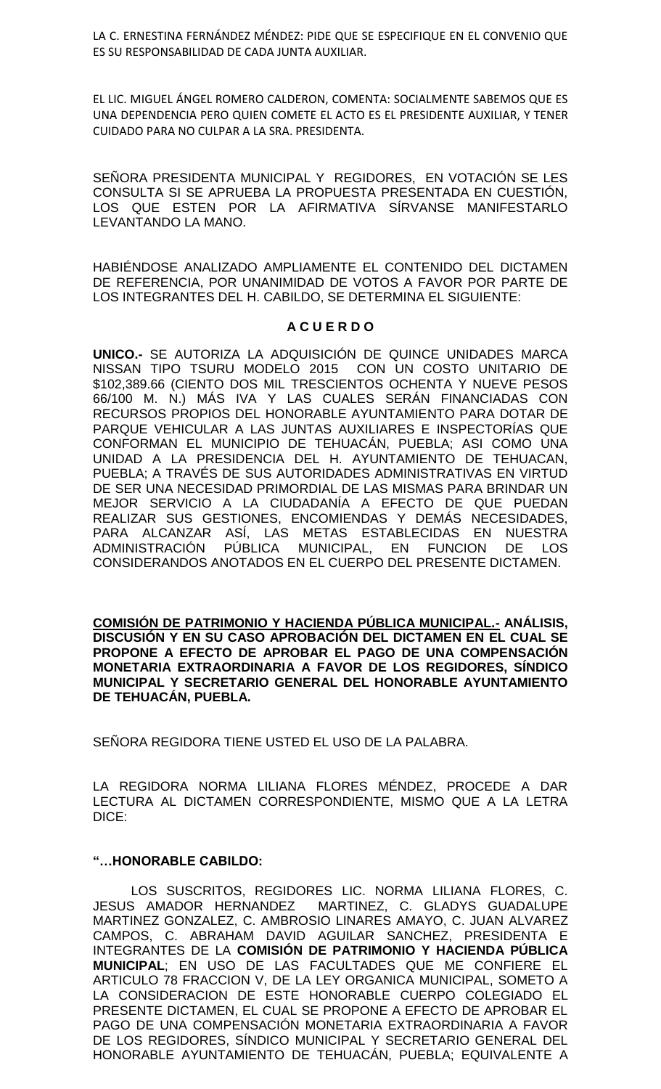LA C. ERNESTINA FERNÁNDEZ MÉNDEZ: PIDE QUE SE ESPECIFIQUE EN EL CONVENIO QUE ES SU RESPONSABILIDAD DE CADA JUNTA AUXILIAR.

EL LIC. MIGUEL ÁNGEL ROMERO CALDERON, COMENTA: SOCIALMENTE SABEMOS QUE ES UNA DEPENDENCIA PERO QUIEN COMETE EL ACTO ES EL PRESIDENTE AUXILIAR, Y TENER CUIDADO PARA NO CULPAR A LA SRA. PRESIDENTA.

SEÑORA PRESIDENTA MUNICIPAL Y REGIDORES, EN VOTACIÓN SE LES CONSULTA SI SE APRUEBA LA PROPUESTA PRESENTADA EN CUESTIÓN, LOS QUE ESTEN POR LA AFIRMATIVA SÍRVANSE MANIFESTARLO LEVANTANDO LA MANO.

HABIÉNDOSE ANALIZADO AMPLIAMENTE EL CONTENIDO DEL DICTAMEN DE REFERENCIA, POR UNANIMIDAD DE VOTOS A FAVOR POR PARTE DE LOS INTEGRANTES DEL H. CABILDO, SE DETERMINA EL SIGUIENTE:

## **A C U E R D O**

**UNICO.-** SE AUTORIZA LA ADQUISICIÓN DE QUINCE UNIDADES MARCA NISSAN TIPO TSURU MODELO 2015 CON UN COSTO UNITARIO DE \$102,389.66 (CIENTO DOS MIL TRESCIENTOS OCHENTA Y NUEVE PESOS 66/100 M. N.) MÁS IVA Y LAS CUALES SERÁN FINANCIADAS CON RECURSOS PROPIOS DEL HONORABLE AYUNTAMIENTO PARA DOTAR DE PARQUE VEHICULAR A LAS JUNTAS AUXILIARES E INSPECTORÍAS QUE CONFORMAN EL MUNICIPIO DE TEHUACÁN, PUEBLA; ASI COMO UNA UNIDAD A LA PRESIDENCIA DEL H. AYUNTAMIENTO DE TEHUACAN, PUEBLA; A TRAVÉS DE SUS AUTORIDADES ADMINISTRATIVAS EN VIRTUD DE SER UNA NECESIDAD PRIMORDIAL DE LAS MISMAS PARA BRINDAR UN MEJOR SERVICIO A LA CIUDADANÍA A EFECTO DE QUE PUEDAN REALIZAR SUS GESTIONES, ENCOMIENDAS Y DEMÁS NECESIDADES, PARA ALCANZAR ASÍ, LAS METAS ESTABLECIDAS EN NUESTRA ADMINISTRACIÓN PÚBLICA MUNICIPAL, EN FUNCION DE LOS CONSIDERANDOS ANOTADOS EN EL CUERPO DEL PRESENTE DICTAMEN.

**COMISIÓN DE PATRIMONIO Y HACIENDA PÚBLICA MUNICIPAL.- ANÁLISIS, DISCUSIÓN Y EN SU CASO APROBACIÓN DEL DICTAMEN EN EL CUAL SE PROPONE A EFECTO DE APROBAR EL PAGO DE UNA COMPENSACIÓN MONETARIA EXTRAORDINARIA A FAVOR DE LOS REGIDORES, SÍNDICO MUNICIPAL Y SECRETARIO GENERAL DEL HONORABLE AYUNTAMIENTO DE TEHUACÁN, PUEBLA.** 

SEÑORA REGIDORA TIENE USTED EL USO DE LA PALABRA.

LA REGIDORA NORMA LILIANA FLORES MÉNDEZ, PROCEDE A DAR LECTURA AL DICTAMEN CORRESPONDIENTE, MISMO QUE A LA LETRA DICE:

#### **"…HONORABLE CABILDO:**

LOS SUSCRITOS, REGIDORES LIC. NORMA LILIANA FLORES, C. JESUS AMADOR HERNANDEZ MARTINEZ, C. GLADYS GUADALUPE MARTINEZ GONZALEZ, C. AMBROSIO LINARES AMAYO, C. JUAN ALVAREZ CAMPOS, C. ABRAHAM DAVID AGUILAR SANCHEZ, PRESIDENTA E INTEGRANTES DE LA **COMISIÓN DE PATRIMONIO Y HACIENDA PÚBLICA MUNICIPAL**; EN USO DE LAS FACULTADES QUE ME CONFIERE EL ARTICULO 78 FRACCION V, DE LA LEY ORGANICA MUNICIPAL, SOMETO A LA CONSIDERACION DE ESTE HONORABLE CUERPO COLEGIADO EL PRESENTE DICTAMEN, EL CUAL SE PROPONE A EFECTO DE APROBAR EL PAGO DE UNA COMPENSACIÓN MONETARIA EXTRAORDINARIA A FAVOR DE LOS REGIDORES, SÍNDICO MUNICIPAL Y SECRETARIO GENERAL DEL HONORABLE AYUNTAMIENTO DE TEHUACÁN, PUEBLA; EQUIVALENTE A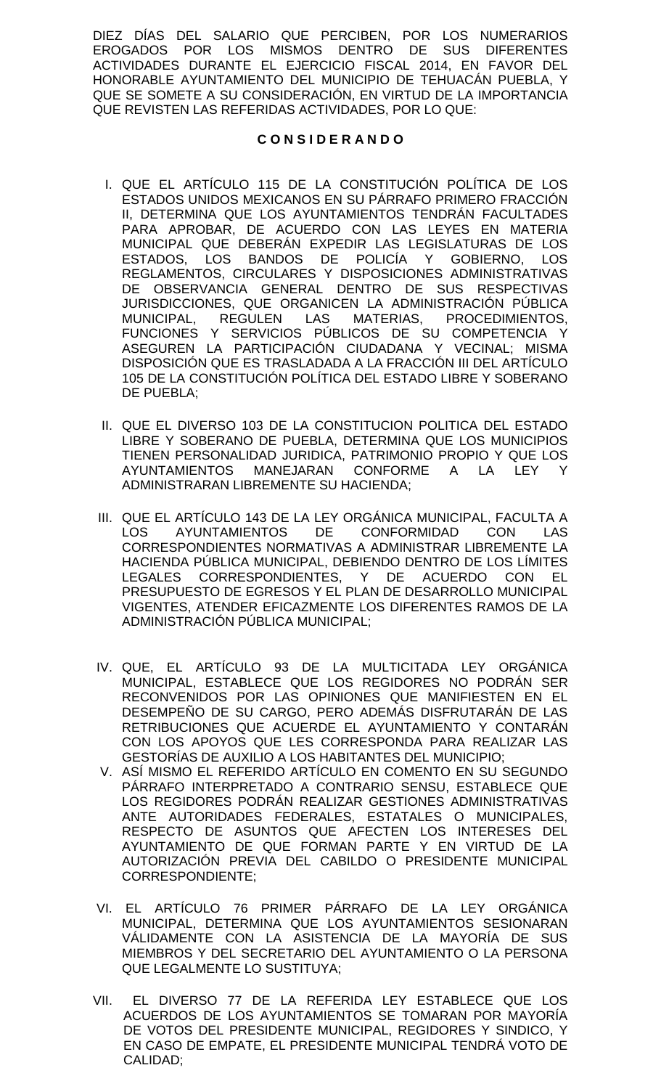DIEZ DÍAS DEL SALARIO QUE PERCIBEN, POR LOS NUMERARIOS EROGADOS POR LOS MISMOS DENTRO DE SUS DIFERENTES ACTIVIDADES DURANTE EL EJERCICIO FISCAL 2014, EN FAVOR DEL HONORABLE AYUNTAMIENTO DEL MUNICIPIO DE TEHUACÁN PUEBLA, Y QUE SE SOMETE A SU CONSIDERACIÓN, EN VIRTUD DE LA IMPORTANCIA QUE REVISTEN LAS REFERIDAS ACTIVIDADES, POR LO QUE:

## **C O N S I D E R A N D O**

- I. QUE EL ARTÍCULO 115 DE LA CONSTITUCIÓN POLÍTICA DE LOS ESTADOS UNIDOS MEXICANOS EN SU PÁRRAFO PRIMERO FRACCIÓN II, DETERMINA QUE LOS AYUNTAMIENTOS TENDRÁN FACULTADES PARA APROBAR, DE ACUERDO CON LAS LEYES EN MATERIA MUNICIPAL QUE DEBERÁN EXPEDIR LAS LEGISLATURAS DE LOS ESTADOS, LOS BANDOS DE POLICÍA Y GOBIERNO, LOS REGLAMENTOS, CIRCULARES Y DISPOSICIONES ADMINISTRATIVAS DE OBSERVANCIA GENERAL DENTRO DE SUS RESPECTIVAS JURISDICCIONES, QUE ORGANICEN LA ADMINISTRACIÓN PÚBLICA MUNICIPAL, REGULEN LAS MATERIAS, PROCEDIMIENTOS, FUNCIONES Y SERVICIOS PÚBLICOS DE SU COMPETENCIA Y ASEGUREN LA PARTICIPACIÓN CIUDADANA Y VECINAL; MISMA DISPOSICIÓN QUE ES TRASLADADA A LA FRACCIÓN III DEL ARTÍCULO 105 DE LA CONSTITUCIÓN POLÍTICA DEL ESTADO LIBRE Y SOBERANO DE PUEBLA;
- II. QUE EL DIVERSO 103 DE LA CONSTITUCION POLITICA DEL ESTADO LIBRE Y SOBERANO DE PUEBLA, DETERMINA QUE LOS MUNICIPIOS TIENEN PERSONALIDAD JURIDICA, PATRIMONIO PROPIO Y QUE LOS AYUNTAMIENTOS MANEJARAN CONFORME A LA LEY Y ADMINISTRARAN LIBREMENTE SU HACIENDA;
- III. QUE EL ARTÍCULO 143 DE LA LEY ORGÁNICA MUNICIPAL, FACULTA A LOS AYUNTAMIENTOS DE CONFORMIDAD CON LAS CORRESPONDIENTES NORMATIVAS A ADMINISTRAR LIBREMENTE LA HACIENDA PÚBLICA MUNICIPAL, DEBIENDO DENTRO DE LOS LÍMITES LEGALES CORRESPONDIENTES, Y DE ACUERDO CON EL PRESUPUESTO DE EGRESOS Y EL PLAN DE DESARROLLO MUNICIPAL VIGENTES, ATENDER EFICAZMENTE LOS DIFERENTES RAMOS DE LA ADMINISTRACIÓN PÚBLICA MUNICIPAL;
- IV. QUE, EL ARTÍCULO 93 DE LA MULTICITADA LEY ORGÁNICA MUNICIPAL, ESTABLECE QUE LOS REGIDORES NO PODRÁN SER RECONVENIDOS POR LAS OPINIONES QUE MANIFIESTEN EN EL DESEMPEÑO DE SU CARGO, PERO ADEMÁS DISFRUTARÁN DE LAS RETRIBUCIONES QUE ACUERDE EL AYUNTAMIENTO Y CONTARÁN CON LOS APOYOS QUE LES CORRESPONDA PARA REALIZAR LAS GESTORÍAS DE AUXILIO A LOS HABITANTES DEL MUNICIPIO;
- V. ASÍ MISMO EL REFERIDO ARTÍCULO EN COMENTO EN SU SEGUNDO PÁRRAFO INTERPRETADO A CONTRARIO SENSU, ESTABLECE QUE LOS REGIDORES PODRÁN REALIZAR GESTIONES ADMINISTRATIVAS ANTE AUTORIDADES FEDERALES, ESTATALES O MUNICIPALES, RESPECTO DE ASUNTOS QUE AFECTEN LOS INTERESES DEL AYUNTAMIENTO DE QUE FORMAN PARTE Y EN VIRTUD DE LA AUTORIZACIÓN PREVIA DEL CABILDO O PRESIDENTE MUNICIPAL CORRESPONDIENTE;
- VI. EL ARTÍCULO 76 PRIMER PÁRRAFO DE LA LEY ORGÁNICA MUNICIPAL, DETERMINA QUE LOS AYUNTAMIENTOS SESIONARAN VÁLIDAMENTE CON LA ASISTENCIA DE LA MAYORÍA DE SUS MIEMBROS Y DEL SECRETARIO DEL AYUNTAMIENTO O LA PERSONA QUE LEGALMENTE LO SUSTITUYA;
- VII. EL DIVERSO 77 DE LA REFERIDA LEY ESTABLECE QUE LOS ACUERDOS DE LOS AYUNTAMIENTOS SE TOMARAN POR MAYORÍA DE VOTOS DEL PRESIDENTE MUNICIPAL, REGIDORES Y SINDICO, Y EN CASO DE EMPATE, EL PRESIDENTE MUNICIPAL TENDRÁ VOTO DE CALIDAD;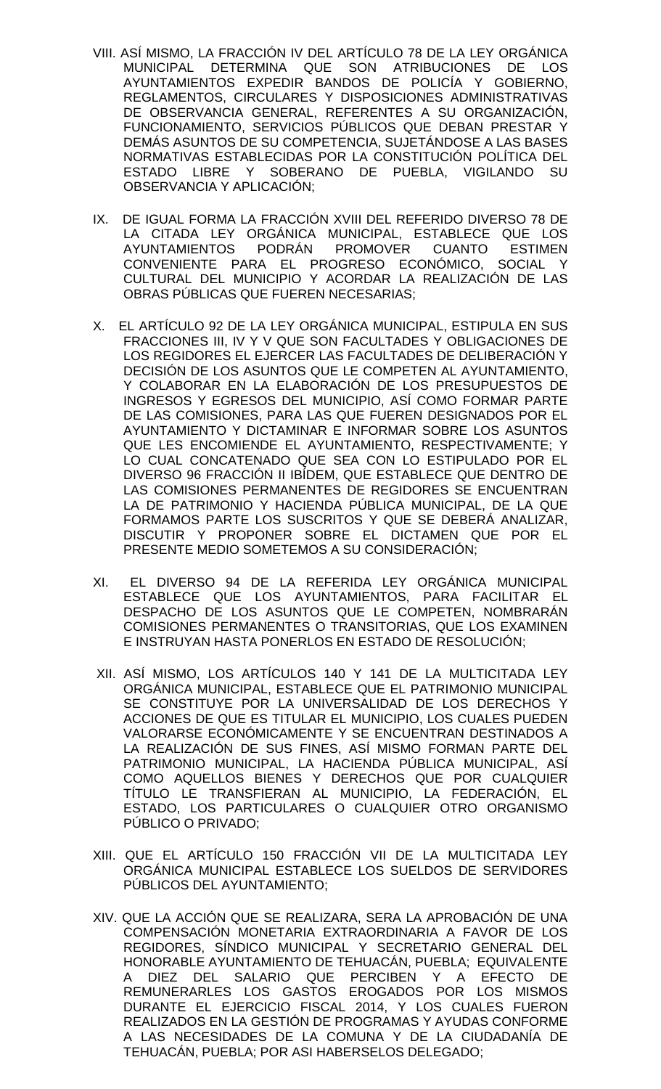- VIII. ASÍ MISMO, LA FRACCIÓN IV DEL ARTÍCULO 78 DE LA LEY ORGÁNICA MUNICIPAL DETERMINA QUE SON ATRIBUCIONES DE LOS AYUNTAMIENTOS EXPEDIR BANDOS DE POLICÍA Y GOBIERNO, REGLAMENTOS, CIRCULARES Y DISPOSICIONES ADMINISTRATIVAS DE OBSERVANCIA GENERAL, REFERENTES A SU ORGANIZACIÓN, FUNCIONAMIENTO, SERVICIOS PÚBLICOS QUE DEBAN PRESTAR Y DEMÁS ASUNTOS DE SU COMPETENCIA, SUJETÁNDOSE A LAS BASES NORMATIVAS ESTABLECIDAS POR LA CONSTITUCIÓN POLÍTICA DEL ESTADO LIBRE Y SOBERANO DE PUEBLA, VIGILANDO SU OBSERVANCIA Y APLICACIÓN;
- IX. DE IGUAL FORMA LA FRACCIÓN XVIII DEL REFERIDO DIVERSO 78 DE LA CITADA LEY ORGÁNICA MUNICIPAL, ESTABLECE QUE LOS AYUNTAMIENTOS PODRÁN PROMOVER CUANTO ESTIMEN CONVENIENTE PARA EL PROGRESO ECONÓMICO, SOCIAL Y CULTURAL DEL MUNICIPIO Y ACORDAR LA REALIZACIÓN DE LAS OBRAS PÚBLICAS QUE FUEREN NECESARIAS;
- X. EL ARTÍCULO 92 DE LA LEY ORGÁNICA MUNICIPAL, ESTIPULA EN SUS FRACCIONES III, IV Y V QUE SON FACULTADES Y OBLIGACIONES DE LOS REGIDORES EL EJERCER LAS FACULTADES DE DELIBERACIÓN Y DECISIÓN DE LOS ASUNTOS QUE LE COMPETEN AL AYUNTAMIENTO, Y COLABORAR EN LA ELABORACIÓN DE LOS PRESUPUESTOS DE INGRESOS Y EGRESOS DEL MUNICIPIO, ASÍ COMO FORMAR PARTE DE LAS COMISIONES, PARA LAS QUE FUEREN DESIGNADOS POR EL AYUNTAMIENTO Y DICTAMINAR E INFORMAR SOBRE LOS ASUNTOS QUE LES ENCOMIENDE EL AYUNTAMIENTO, RESPECTIVAMENTE; Y LO CUAL CONCATENADO QUE SEA CON LO ESTIPULADO POR EL DIVERSO 96 FRACCIÓN II IBÍDEM, QUE ESTABLECE QUE DENTRO DE LAS COMISIONES PERMANENTES DE REGIDORES SE ENCUENTRAN LA DE PATRIMONIO Y HACIENDA PÚBLICA MUNICIPAL, DE LA QUE FORMAMOS PARTE LOS SUSCRITOS Y QUE SE DEBERÁ ANALIZAR, DISCUTIR Y PROPONER SOBRE EL DICTAMEN QUE POR EL PRESENTE MEDIO SOMETEMOS A SU CONSIDERACIÓN;
- XI. EL DIVERSO 94 DE LA REFERIDA LEY ORGÁNICA MUNICIPAL ESTABLECE QUE LOS AYUNTAMIENTOS, PARA FACILITAR EL DESPACHO DE LOS ASUNTOS QUE LE COMPETEN, NOMBRARÁN COMISIONES PERMANENTES O TRANSITORIAS, QUE LOS EXAMINEN E INSTRUYAN HASTA PONERLOS EN ESTADO DE RESOLUCIÓN;
- XII. ASÍ MISMO, LOS ARTÍCULOS 140 Y 141 DE LA MULTICITADA LEY ORGÁNICA MUNICIPAL, ESTABLECE QUE EL PATRIMONIO MUNICIPAL SE CONSTITUYE POR LA UNIVERSALIDAD DE LOS DERECHOS Y ACCIONES DE QUE ES TITULAR EL MUNICIPIO, LOS CUALES PUEDEN VALORARSE ECONÓMICAMENTE Y SE ENCUENTRAN DESTINADOS A LA REALIZACIÓN DE SUS FINES, ASÍ MISMO FORMAN PARTE DEL PATRIMONIO MUNICIPAL, LA HACIENDA PÚBLICA MUNICIPAL, ASÍ COMO AQUELLOS BIENES Y DERECHOS QUE POR CUALQUIER TÍTULO LE TRANSFIERAN AL MUNICIPIO, LA FEDERACIÓN, EL ESTADO, LOS PARTICULARES O CUALQUIER OTRO ORGANISMO PÚBLICO O PRIVADO;
- XIII. QUE EL ARTÍCULO 150 FRACCIÓN VII DE LA MULTICITADA LEY ORGÁNICA MUNICIPAL ESTABLECE LOS SUELDOS DE SERVIDORES PÚBLICOS DEL AYUNTAMIENTO;
- XIV. QUE LA ACCIÓN QUE SE REALIZARA, SERA LA APROBACIÓN DE UNA COMPENSACIÓN MONETARIA EXTRAORDINARIA A FAVOR DE LOS REGIDORES, SÍNDICO MUNICIPAL Y SECRETARIO GENERAL DEL HONORABLE AYUNTAMIENTO DE TEHUACÁN, PUEBLA; EQUIVALENTE A DIEZ DEL SALARIO QUE PERCIBEN Y A EFECTO DE REMUNERARLES LOS GASTOS EROGADOS POR LOS MISMOS DURANTE EL EJERCICIO FISCAL 2014, Y LOS CUALES FUERON REALIZADOS EN LA GESTIÓN DE PROGRAMAS Y AYUDAS CONFORME A LAS NECESIDADES DE LA COMUNA Y DE LA CIUDADANÍA DE TEHUACÁN, PUEBLA; POR ASI HABERSELOS DELEGADO;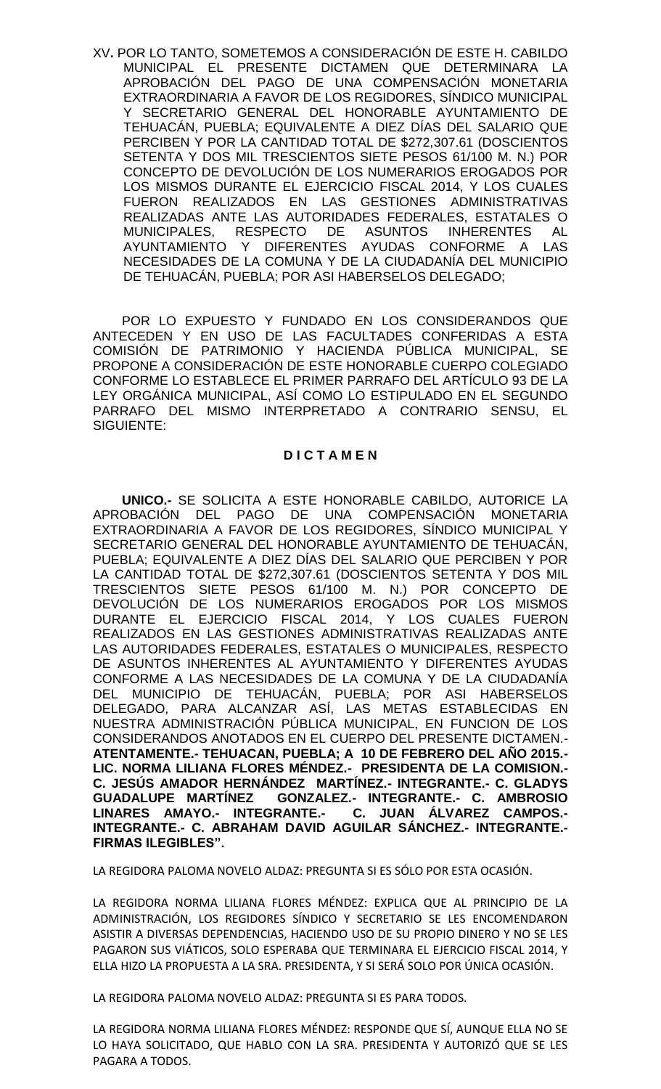XV**.** POR LO TANTO, SOMETEMOS A CONSIDERACIÓN DE ESTE H. CABILDO MUNICIPAL EL PRESENTE DICTAMEN QUE DETERMINARA LA APROBACIÓN DEL PAGO DE UNA COMPENSACIÓN MONETARIA EXTRAORDINARIA A FAVOR DE LOS REGIDORES, SÍNDICO MUNICIPAL Y SECRETARIO GENERAL DEL HONORABLE AYUNTAMIENTO DE TEHUACÁN, PUEBLA; EQUIVALENTE A DIEZ DÍAS DEL SALARIO QUE PERCIBEN Y POR LA CANTIDAD TOTAL DE \$272,307.61 (DOSCIENTOS SETENTA Y DOS MIL TRESCIENTOS SIETE PESOS 61/100 M. N.) POR CONCEPTO DE DEVOLUCIÓN DE LOS NUMERARIOS EROGADOS POR LOS MISMOS DURANTE EL EJERCICIO FISCAL 2014, Y LOS CUALES FUERON REALIZADOS EN LAS GESTIONES ADMINISTRATIVAS REALIZADAS ANTE LAS AUTORIDADES FEDERALES, ESTATALES O MUNICIPALES, RESPECTO DE ASUNTOS INHERENTES AL AYUNTAMIENTO Y DIFERENTES AYUDAS CONFORME A LAS NECESIDADES DE LA COMUNA Y DE LA CIUDADANÍA DEL MUNICIPIO DE TEHUACÁN, PUEBLA; POR ASI HABERSELOS DELEGADO;

POR LO EXPUESTO Y FUNDADO EN LOS CONSIDERANDOS QUE ANTECEDEN Y EN USO DE LAS FACULTADES CONFERIDAS A ESTA COMISIÓN DE PATRIMONIO Y HACIENDA PÚBLICA MUNICIPAL, SE PROPONE A CONSIDERACIÓN DE ESTE HONORABLE CUERPO COLEGIADO CONFORME LO ESTABLECE EL PRIMER PARRAFO DEL ARTÍCULO 93 DE LA LEY ORGÁNICA MUNICIPAL, ASÍ COMO LO ESTIPULADO EN EL SEGUNDO PARRAFO DEL MISMO INTERPRETADO A CONTRARIO SENSU, EL SIGUIENTE:

## **D I C T A M E N**

**UNICO.-** SE SOLICITA A ESTE HONORABLE CABILDO, AUTORICE LA APROBACIÓN DEL PAGO DE UNA COMPENSACIÓN MONETARIA EXTRAORDINARIA A FAVOR DE LOS REGIDORES, SÍNDICO MUNICIPAL Y SECRETARIO GENERAL DEL HONORABLE AYUNTAMIENTO DE TEHUACÁN, PUEBLA; EQUIVALENTE A DIEZ DÍAS DEL SALARIO QUE PERCIBEN Y POR LA CANTIDAD TOTAL DE \$272,307.61 (DOSCIENTOS SETENTA Y DOS MIL TRESCIENTOS SIETE PESOS 61/100 M. N.) POR CONCEPTO DE DEVOLUCIÓN DE LOS NUMERARIOS EROGADOS POR LOS MISMOS DURANTE EL EJERCICIO FISCAL 2014, Y LOS CUALES FUERON REALIZADOS EN LAS GESTIONES ADMINISTRATIVAS REALIZADAS ANTE LAS AUTORIDADES FEDERALES, ESTATALES O MUNICIPALES, RESPECTO DE ASUNTOS INHERENTES AL AYUNTAMIENTO Y DIFERENTES AYUDAS CONFORME A LAS NECESIDADES DE LA COMUNA Y DE LA CIUDADANÍA DEL MUNICIPIO DE TEHUACÁN, PUEBLA; POR ASI HABERSELOS DELEGADO, PARA ALCANZAR ASÍ, LAS METAS ESTABLECIDAS EN NUESTRA ADMINISTRACIÓN PÚBLICA MUNICIPAL, EN FUNCION DE LOS CONSIDERANDOS ANOTADOS EN EL CUERPO DEL PRESENTE DICTAMEN.- **ATENTAMENTE.- TEHUACAN, PUEBLA; A 10 DE FEBRERO DEL AÑO 2015.- LIC. NORMA LILIANA FLORES MÉNDEZ.- PRESIDENTA DE LA COMISION.- C. JESÚS AMADOR HERNÁNDEZ MARTÍNEZ.- INTEGRANTE.- C. GLADYS GUADALUPE MARTÍNEZ GONZALEZ.- INTEGRANTE.- C. AMBROSIO LINARES AMAYO.- INTEGRANTE.- C. JUAN ÁLVAREZ CAMPOS.- INTEGRANTE.- C. ABRAHAM DAVID AGUILAR SÁNCHEZ.- INTEGRANTE.- FIRMAS ILEGIBLES".** 

LA REGIDORA PALOMA NOVELO ALDAZ: PREGUNTA SI ES SÓLO POR ESTA OCASIÓN.

LA REGIDORA NORMA LILIANA FLORES MÉNDEZ: EXPLICA QUE AL PRINCIPIO DE LA ADMINISTRACIÓN, LOS REGIDORES SÍNDICO Y SECRETARIO SE LES ENCOMENDARON ASISTIR A DIVERSAS DEPENDENCIAS, HACIENDO USO DE SU PROPIO DINERO Y NO SE LES PAGARON SUS VIÁTICOS, SOLO ESPERABA QUE TERMINARA EL EJERCICIO FISCAL 2014, Y ELLA HIZO LA PROPUESTA A LA SRA. PRESIDENTA, Y SI SERÁ SOLO POR ÚNICA OCASIÓN.

LA REGIDORA PALOMA NOVELO ALDAZ: PREGUNTA SI ES PARA TODOS.

LA REGIDORA NORMA LILIANA FLORES MÉNDEZ: RESPONDE QUE SÍ, AUNQUE ELLA NO SE LO HAYA SOLICITADO, QUE HABLO CON LA SRA. PRESIDENTA Y AUTORIZÓ QUE SE LES PAGARA A TODOS.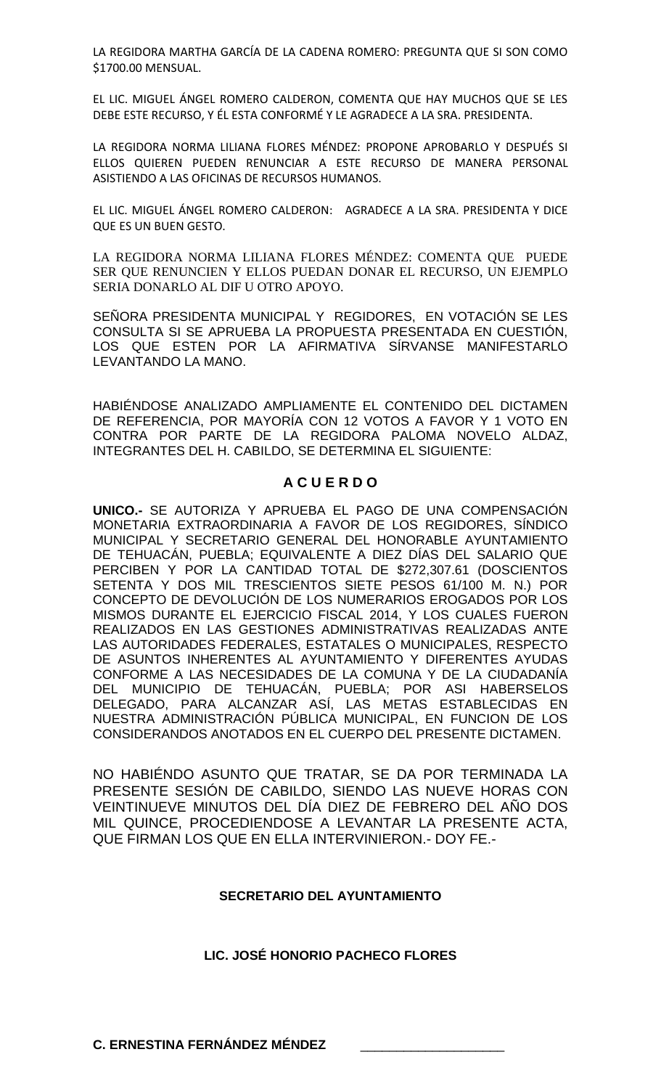LA REGIDORA MARTHA GARCÍA DE LA CADENA ROMERO: PREGUNTA QUE SI SON COMO \$1700.00 MENSUAL.

EL LIC. MIGUEL ÁNGEL ROMERO CALDERON, COMENTA QUE HAY MUCHOS QUE SE LES DEBE ESTE RECURSO, Y ÉL ESTA CONFORMÉ Y LE AGRADECE A LA SRA. PRESIDENTA.

LA REGIDORA NORMA LILIANA FLORES MÉNDEZ: PROPONE APROBARLO Y DESPUÉS SI ELLOS QUIEREN PUEDEN RENUNCIAR A ESTE RECURSO DE MANERA PERSONAL ASISTIENDO A LAS OFICINAS DE RECURSOS HUMANOS.

EL LIC. MIGUEL ÁNGEL ROMERO CALDERON: AGRADECE A LA SRA. PRESIDENTA Y DICE QUE ES UN BUEN GESTO.

LA REGIDORA NORMA LILIANA FLORES MÉNDEZ: COMENTA QUE PUEDE SER QUE RENUNCIEN Y ELLOS PUEDAN DONAR EL RECURSO, UN EJEMPLO SERIA DONARLO AL DIF U OTRO APOYO.

SEÑORA PRESIDENTA MUNICIPAL Y REGIDORES, EN VOTACIÓN SE LES CONSULTA SI SE APRUEBA LA PROPUESTA PRESENTADA EN CUESTIÓN, LOS QUE ESTEN POR LA AFIRMATIVA SÍRVANSE MANIFESTARLO LEVANTANDO LA MANO.

HABIÉNDOSE ANALIZADO AMPLIAMENTE EL CONTENIDO DEL DICTAMEN DE REFERENCIA, POR MAYORÍA CON 12 VOTOS A FAVOR Y 1 VOTO EN CONTRA POR PARTE DE LA REGIDORA PALOMA NOVELO ALDAZ, INTEGRANTES DEL H. CABILDO, SE DETERMINA EL SIGUIENTE:

# **A C U E R D O**

**UNICO.-** SE AUTORIZA Y APRUEBA EL PAGO DE UNA COMPENSACIÓN MONETARIA EXTRAORDINARIA A FAVOR DE LOS REGIDORES, SÍNDICO MUNICIPAL Y SECRETARIO GENERAL DEL HONORABLE AYUNTAMIENTO DE TEHUACÁN, PUEBLA; EQUIVALENTE A DIEZ DÍAS DEL SALARIO QUE PERCIBEN Y POR LA CANTIDAD TOTAL DE \$272,307.61 (DOSCIENTOS SETENTA Y DOS MIL TRESCIENTOS SIETE PESOS 61/100 M. N.) POR CONCEPTO DE DEVOLUCIÓN DE LOS NUMERARIOS EROGADOS POR LOS MISMOS DURANTE EL EJERCICIO FISCAL 2014, Y LOS CUALES FUERON REALIZADOS EN LAS GESTIONES ADMINISTRATIVAS REALIZADAS ANTE LAS AUTORIDADES FEDERALES, ESTATALES O MUNICIPALES, RESPECTO DE ASUNTOS INHERENTES AL AYUNTAMIENTO Y DIFERENTES AYUDAS CONFORME A LAS NECESIDADES DE LA COMUNA Y DE LA CIUDADANÍA DEL MUNICIPIO DE TEHUACÁN, PUEBLA; POR ASI HABERSELOS DELEGADO, PARA ALCANZAR ASÍ, LAS METAS ESTABLECIDAS EN NUESTRA ADMINISTRACIÓN PÚBLICA MUNICIPAL, EN FUNCION DE LOS CONSIDERANDOS ANOTADOS EN EL CUERPO DEL PRESENTE DICTAMEN.

NO HABIÉNDO ASUNTO QUE TRATAR, SE DA POR TERMINADA LA PRESENTE SESIÓN DE CABILDO, SIENDO LAS NUEVE HORAS CON VEINTINUEVE MINUTOS DEL DÍA DIEZ DE FEBRERO DEL AÑO DOS MIL QUINCE, PROCEDIENDOSE A LEVANTAR LA PRESENTE ACTA, QUE FIRMAN LOS QUE EN ELLA INTERVINIERON.- DOY FE.-

## **SECRETARIO DEL AYUNTAMIENTO**

## **LIC. JOSÉ HONORIO PACHECO FLORES**

**C. ERNESTINA FERNÁNDEZ MÉNDEZ**